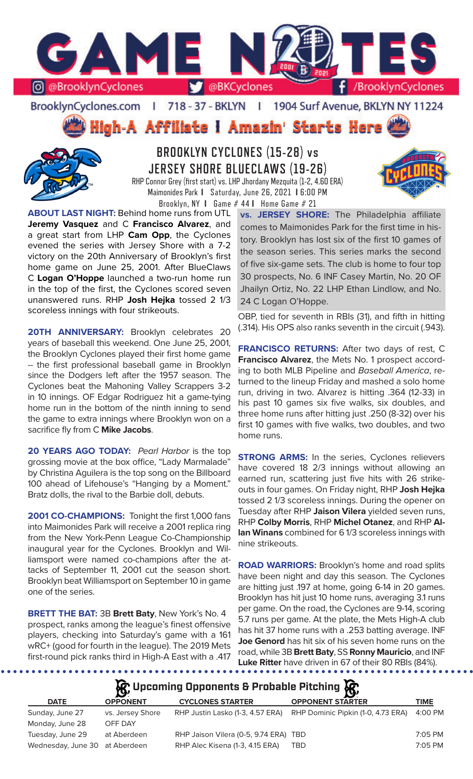

BrooklynCyclones.com | 718 - 37 - BKLYN - 11 1904 Surf Avenue, BKLYN NY 11224

High-A Affiliate I Amazin' Starts Here



**BROOKLYN CYCLONES (15-28) vs JERSEY SHORE BLUECLAWS (19-26)** RHP Connor Grey (first start) vs. LHP Jhordany Mezquita (1-2, 4.60 ERA) Maimonides Park **I** Saturday, June 26, 2021 **I** 6:00 PM



**ABOUT LAST NIGHT:** Behind home runs from UTL **Jeremy Vasquez** and C **Francisco Alvarez**, and a great start from LHP **Cam Opp**, the Cyclones evened the series with Jersey Shore with a 7-2 victory on the 20th Anniversary of Brooklyn's first home game on June 25, 2001. After BlueClaws C **Logan O'Hoppe** launched a two-run home run in the top of the first, the Cyclones scored seven unanswered runs. RHP **Josh Hejka** tossed 2 1/3 scoreless innings with four strikeouts.

20TH ANNIVERSARY: Brooklyn celebrates 20 years of baseball this weekend. One June 25, 2001, the Brooklyn Cyclones played their first home game -- the first professional baseball game in Brooklyn since the Dodgers left after the 1957 season. The Cyclones beat the Mahoning Valley Scrappers 3-2 in 10 innings. OF Edgar Rodriguez hit a game-tying home run in the bottom of the ninth inning to send the game to extra innings where Brooklyn won on a sacrifice fly from C **Mike Jacobs**.

**20 YEARS AGO TODAY:** *Pearl Harbor* is the top grossing movie at the box office, "Lady Marmalade" by Christina Aguilera is the top song on the Billboard 100 ahead of Lifehouse's "Hanging by a Moment." Bratz dolls, the rival to the Barbie doll, debuts.

**2001 CO-CHAMPIONS:** Tonight the first 1,000 fans into Maimonides Park will receive a 2001 replica ring from the New York-Penn League Co-Championship inaugural year for the Cyclones. Brooklyn and Williamsport were named co-champions after the attacks of September 11, 2001 cut the season short. Brooklyn beat Williamsport on September 10 in game one of the series.

**BRETT THE BAT:** 3B **Brett Baty**, New York's No. 4 prospect, ranks among the league's finest offensive players, checking into Saturday's game with a 161 wRC+ (good for fourth in the league). The 2019 Mets first-round pick ranks third in High-A East with a .417

Brooklyn, NY **I** Game # 44 **I** Home Game # 21 **vs. JERSEY SHORE:** The Philadelphia affiliate comes to Maimonides Park for the first time in history. Brooklyn has lost six of the first 10 games of the season series. This series marks the second of five six-game sets. The club is home to four top 30 prospects, No. 6 INF Casey Martin, No. 20 OF Jhailyn Ortiz, No. 22 LHP Ethan Lindlow, and No. 24 C Logan O'Hoppe.

> OBP, tied for seventh in RBIs (31), and fifth in hitting (.314). His OPS also ranks seventh in the circuit (.943).

> **FRANCISCO RETURNS:** After two days of rest, C **Francisco Alvarez**, the Mets No. 1 prospect according to both MLB Pipeline and *Baseball America*, returned to the lineup Friday and mashed a solo home run, driving in two. Alvarez is hitting .364 (12-33) in his past 10 games six five walks, six doubles, and three home runs after hitting just .250 (8-32) over his first 10 games with five walks, two doubles, and two home runs.

> **STRONG ARMS:** In the series, Cyclones relievers have covered 18 2/3 innings without allowing an earned run, scattering just five hits with 26 strikeouts in four games. On Friday night, RHP **Josh Hejka**  tossed 2 1/3 scoreless innings. During the opener on Tuesday after RHP **Jaison Vilera** yielded seven runs, RHP **Colby Morris**, RHP **Michel Otanez**, and RHP **Allan Winans** combined for 6 1/3 scoreless innings with nine strikeouts.

> **ROAD WARRIORS:** Brooklyn's home and road splits have been night and day this season. The Cyclones are hitting just .197 at home, going 6-14 in 20 games. Brooklyn has hit just 10 home runs, averaging 3.1 runs per game. On the road, the Cyclones are 9-14, scoring 5.7 runs per game. At the plate, the Mets High-A club has hit 37 home runs with a .253 batting average. INF **Joe Genord** has hit six of his seven home runs on the road, while 3B **Brett Baty**, SS **Ronny Mauricio**, and INF **Luke Ritter** have driven in 67 of their 80 RBIs (84%).

**A**: Upcoming Opponents & Probable Pitching **A** 

| <b>DATE</b>                    | $\mathbf{r}$<br><b>OPPONENT</b> | <b>CYCLONES STARTER</b>               | Ю.<br><b>OPPONENT STARTER</b>      | TIME      |
|--------------------------------|---------------------------------|---------------------------------------|------------------------------------|-----------|
|                                |                                 |                                       |                                    |           |
| Sunday, June 27                | vs. Jersey Shore                | RHP Justin Lasko (1-3, 4.57 ERA)      | RHP Dominic Pipkin (1-0, 4.73 ERA) | 4:00 PM   |
| Monday, June 28                | OFF DAY                         |                                       |                                    |           |
| Tuesday, June 29               | at Aberdeen                     | RHP Jaison Vilera (0-5, 9.74 ERA) TBD |                                    | $7:05$ PM |
| Wednesday, June 30 at Aberdeen |                                 | RHP Alec Kisena (1-3, 4.15 ERA)       | TBD                                | 7:05 PM   |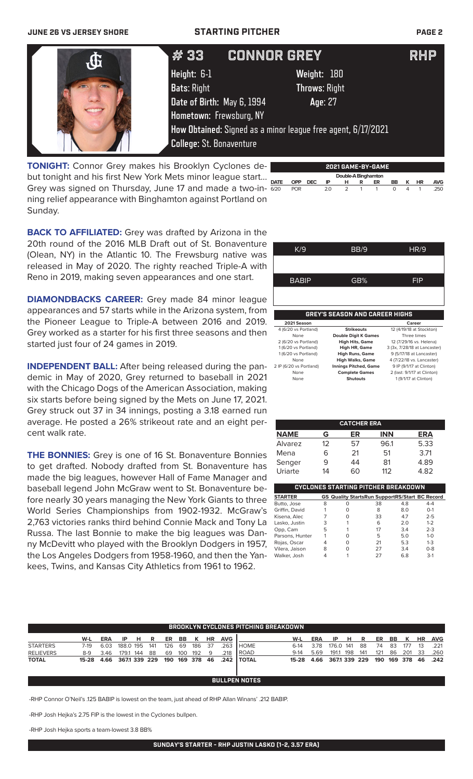### **JUNE 26 VS JERSEY SHORE STARTING PITCHER PAGE 2**

|  | #33                             | <b>CONNOR GREY</b>                                           | <b>RHP</b> |
|--|---------------------------------|--------------------------------------------------------------|------------|
|  | Height: 6-1                     | Weight: 180                                                  |            |
|  | <b>Bats: Right</b>              | <b>Throws: Right</b>                                         |            |
|  | Date of Birth: May 6, 1994      | Age: 27                                                      |            |
|  | Hometown: Frewsburg, NY         |                                                              |            |
|  |                                 | How Obtained: Signed as a minor league free agent, 6/17/2021 |            |
|  | <b>College: St. Bonaventure</b> |                                                              |            |
|  |                                 |                                                              |            |

**TONIGHT:** Connor Grey makes his Brooklyn Cyclones debut tonight and his first New York Mets minor league start... Grey was signed on Thursday, June 17 and made a two-in-  $\frac{1}{620}$ ning relief appearance with Binghamton against Portland on Sunday.



**2021 GAME-BY-GAME**

 **Double-A Binghamton DATE OPP DEC IP H R ER BB K HR AVG** 6/20 POR 2.0 2 1 1 0 4 1 .250

**BACK TO AFFILIATED:** Grey was drafted by Arizona in the 20th round of the 2016 MLB Draft out of St. Bonaventure (Olean, NY) in the Atlantic 10. The Frewsburg native was released in May of 2020. The righty reached Triple-A with Reno in 2019, making seven appearances and one start.

**DIAMONDBACKS CAREER:** Grey made 84 minor league appearances and 57 starts while in the Arizona system, from the Pioneer League to Triple-A between 2016 and 2019. Grey worked as a starter for his first three seasons and then started just four of 24 games in 2019.

**INDEPENDENT BALL:** After being released during the pan- 2IP (6/20 vs Portland) demic in May of 2020, Grey returned to baseball in 2021 with the Chicago Dogs of the American Association, making six starts before being signed by the Mets on June 17, 2021. Grey struck out 37 in 34 innings, posting a 3.18 earned run average. He posted a 26% strikeout rate and an eight percent walk rate.

**THE BONNIES:** Grey is one of 16 St. Bonaventure Bonnies to get drafted. Nobody drafted from St. Bonaventure has made the big leagues, however Hall of Fame Manager and baseball legend John McGraw went to St. Bonaventure before nearly 30 years managing the New York Giants to three World Series Championships from 1902-1932. McGraw's 2,763 victories ranks third behind Connie Mack and Tony La Russa. The last Bonnie to make the big leagues was Danny McDevitt who played with the Brooklyn Dodgers in 1957, the Los Angeles Dodgers from 1958-1960, and then the Yankees, Twins, and Kansas City Athletics from 1961 to 1962.

| K/9                  | BB/9                                  | HR/9                         |
|----------------------|---------------------------------------|------------------------------|
|                      |                                       |                              |
|                      |                                       |                              |
| <b>BABIP</b>         | GB%                                   | FIP                          |
|                      |                                       |                              |
|                      |                                       |                              |
|                      | <b>GREY'S SEASON AND CAREER HIGHS</b> |                              |
|                      |                                       |                              |
| 2021 Season          |                                       | Career                       |
| 4 (6/20 vs Portland) | <b>Strikeouts</b>                     | 12 (4/19/18 at Stockton)     |
| None                 | <b>Double Digit K Games</b>           | Three times                  |
| 2 (6/20 vs Portland) | <b>High Hits, Game</b>                | 12 (7/29/16 vs. Helena)      |
| 1 (6/20 vs Portland) | High HR, Game                         | 3 (3x, 7/28/18 at Lancaster) |
| 1 (6/20 vs Portland) | <b>High Runs, Game</b>                | 9 (5/17/18 at Lancaster)     |

None **High Walks, Game** 4 (7/22/18 vs. Lancaster)<br>0 vs Portland) **Innings Pitched, Game** 9 IP (9/1/17 at Clinton) **Innings Pitched, Game**<br>Complete Games None **Complete Games** 2 (last: 9/1/17 at Clinton)<br>None **Shutouts** 1 (9/1/17 at Clinton)

.<br>1 (9/1/17 at Clinton)

| <b>CATCHER ERA</b>                         |    |    |            |      |  |  |  |  |  |  |
|--------------------------------------------|----|----|------------|------|--|--|--|--|--|--|
| <b>NAME</b>                                | G  | ER | <b>INN</b> | ERA  |  |  |  |  |  |  |
| <b>Alvarez</b>                             | 12 | 57 | 96.1       | 5.33 |  |  |  |  |  |  |
| Mena                                       |    | 21 | 51         | 3.71 |  |  |  |  |  |  |
| Senger                                     | 9  | 44 | 81         | 4.89 |  |  |  |  |  |  |
| Uriarte                                    | 14 | റെ | 112        | 4.82 |  |  |  |  |  |  |
|                                            |    |    |            |      |  |  |  |  |  |  |
| <b>CYCLONES STARTING PITCHER BREAKDOWN</b> |    |    |            |      |  |  |  |  |  |  |

| <b>STARTER</b>  |   | <b>GS Quality StartsRun SupportRS/Start BC Record</b> |    |     |         |
|-----------------|---|-------------------------------------------------------|----|-----|---------|
| Butto, Jose     | 8 | Ο                                                     | 38 | 4.8 | $4 - 4$ |
| Griffin, David  |   |                                                       | 8  | 8.0 | $O-1$   |
| Kisena, Alec    |   |                                                       | 33 | 4.7 | $2 - 5$ |
| Lasko, Justin   | 3 |                                                       | 6  | 2.0 | $1 - 2$ |
| Opp, Cam        | 5 |                                                       | 17 | 3.4 | $2 - 3$ |
| Parsons, Hunter |   |                                                       | 5  | 5.0 | $1 - 0$ |
| Rojas, Oscar    |   |                                                       | 21 | 5.3 | $1 - 3$ |
| Vilera, Jaison  | 8 |                                                       | 27 | 3.4 | $0 - 8$ |
| Walker, Josh    |   |                                                       | 27 | 6.8 | $3-1$   |

|                  | <b>BROOKLYN CYCLONES PITCHING BREAKDOWN.</b> |            |              |     |     |     |     |         |           |            |              |         |      |              |     |     |     |           |         |           |            |
|------------------|----------------------------------------------|------------|--------------|-----|-----|-----|-----|---------|-----------|------------|--------------|---------|------|--------------|-----|-----|-----|-----------|---------|-----------|------------|
|                  | W-L                                          | <b>ERA</b> | -IP          | н   | R   | ER  | BB. | ĸ       | <b>HR</b> | <b>AVG</b> |              | W-L     | ERA  | IP           | н   | R   | ER  | <b>BB</b> | к       | <b>HR</b> | <b>AVG</b> |
| <b>STARTERS</b>  | 7-19                                         | 6.03       | 188.0 195    |     | 141 | 126 | 69  | 186     | -37       | .263       | <b>HOME</b>  | $6-14$  | 3.78 | 176.0        | 141 | 88  | 74  | -83       | 177     | 13        | .221       |
| <b>RELIEVERS</b> | $8-9$                                        | 3.46       | 179.1        | 144 | 88  | 69  | 100 | 192     | q         | 218        | l ROAD       | $9-14$  | 5.69 | 191.1        | 198 | 141 | 121 | 86        | 201     | -33       | .260       |
| <b>TOTAL</b>     | 15-28                                        | 4.66       | 3671 339 229 |     |     | 190 |     | 169 378 | -46       | .242       | <b>TOTAL</b> | $15-28$ | 4.66 | 3671 339 229 |     |     | 190 |           | 169 378 | 46        | .242       |
|                  | <b>BULLPEN NOTES</b>                         |            |              |     |     |     |     |         |           |            |              |         |      |              |     |     |     |           |         |           |            |

-RHP Connor O'Neil's .125 BABIP is lowest on the team, just ahead of RHP Allan Winans' .212 BABIP.

-RHP Josh Hejka's 2.75 FIP is the lowest in the Cyclones bullpen.

-RHP Josh Hejka sports a team-lowest 3.8 BB%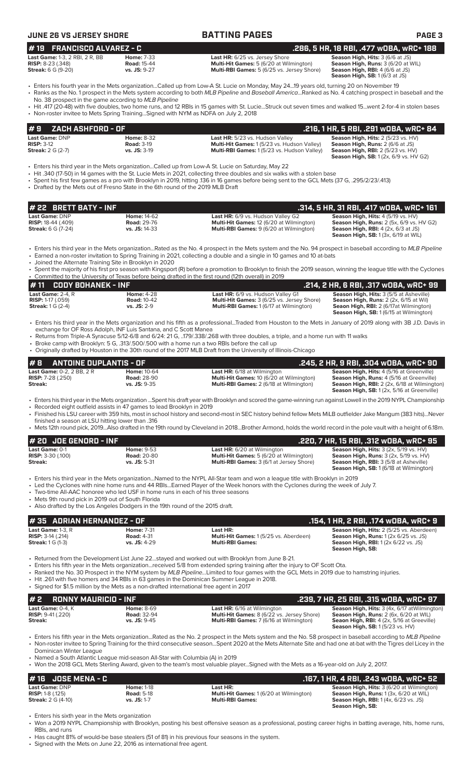**JUNE 26 VS JERSEY SHORE BATTING PAGES PAGE 3 # 22 BRETT BATY - INF .314, 5 HR, 31 RBI, .417 wOBA, wRC+ 161 Last Game: DNP Home: 14-62 Last HR:** 6/9 vs. Hudson Valley G2 **Season High, Hits: 4** (5/19 vs. HV)<br> **RISP:** 18-44 (.409) **Road: 29-76 Multi-Hit Games: 12 (6/20 at Wilmington) Season High, Runs: 2** (5x. 6/9 vs. **RISP:** 18-44 (.409) **Road:** 29-76 **Multi-Hit Games:** 12 (6/20 at Wilmington) **Season High, Runs:** 2 (5x, 6/9 vs. HV G2) **Multi-RBI Games:**  $\frac{12}{2}$  (6/25 at Willmington) **Multi-RBI Games:** 9 (6/20 at Wilmington) **Season High, SB:** 1 (3x, 6/19 at WIL) • Enters his third year in the Mets organization...Rated as the No. 4 prospect in the Mets system and the No. 94 prospect in baseball according to *MLB Pipeline* • Earned a non-roster invitation to Spring Training in 2021, collecting a double and a single in 10 games and 10 at-bats • Joined the Alternate Training Site in Brooklyn in 2020 • Spent the majority of his first pro season with Kingsport (R) before a promotion to Brooklyn to finish the 2019 season, winning the league title with the Cyclones Committed to the University of Texas before being drafted in the first round (12th overall) in 2019<br>• 11 CODY BOHANEK – INF **# 11 CODY BOHANEK - INF .214, 2 HR, 6 RBI, .317 wOBA, wRC+ 99 Last Game:** 2-4, R **Home:** 4-28 **Last HR:** 6/9 vs. Hudson Valley G1 **Season High, Hits:** 3 (5/5 at Asheville) **RISP:** 1-17 (.059) **Road:** 10-42 **Multi-Hit Games:** 3 (6/25 vs. Jersey Shore) **Season High, Runs:** 2 (2x, 6/15 at Wil) **Streak:** 1 G (2-4) **vs. JS:** 2-9 **Multi-RBI Games:** 1 (6/17 at Wilmington) **Seaon High, RBI:** 2 (6/17at Wilmington) **Season High, SB:** 1 (6/15 at Wilmington) • Enters his third year in the Mets organization and his fifth as a professional...Traded from Houston to the Mets in January of 2019 along with 3B J.D. Davis in exchange for OF Ross Adolph, INF Luis Santana, and C Scott Manea • Returns from Triple-A Syracuse 5/12-6/8 and 6/24: 21 G, ..179/.338/.268 with three doubles, a triple, and a home run with 11 walks • Broke camp with Brooklyn: 5 G, .313/.500/.500 with a home run a two RBIs before the call up • Originally drafted by Houston in the 30th round of the 2017 MLB Draft from the University of Illinois-Chicago **# 2 RONNY MAURICIO - INF .239, 7 HR, 25 RBI, .315 wOBA, wRC+ 97** Last Game: 0-4, K **Home: 8-69 Last HR:** 6/16 at Wilmington **Season High, Hits:** 3 (4x, 6/17 atWilmington)<br>**RISP:** 9-41 (.220) **Road: 32-94 Home: 3-69 Multi-Hit Games: 8** (6/22 vs. Jersey Shore) **Season High, Runs: 2 RISP:** 9-41 (.220) **Road:** 32-94 **Multi-Hit Games:** 8 (6/22 vs. Jersey Shore) **Season High, Runs:** 2 (6x, 6/20 at WIL) **Streak: vs. JS:** 9-45 **Multi-RBI Games:** 7 (6/16 at Wilmington) **Seaon High, RBI:** 4 (2x, 5/16 at Greeville) **Season High, SB:** 1 (5/23 vs. HV) **# 8 ANTOINE DUPLANTIS - OF .245, 2 HR, 9 RBI, .304 wOBA, wRC+ 90 Last Game:** 0-2, 2 BB, 2 R **Home:** 10-64 **Last HR:** 6/18 at Wilmington **Season High, Hits:** 4 (5/16 at Greenville)<br> **RISP:** 7-28 (.250) **Road: 28-90 Home: 10 (6/20 at Wilmington) Season High, Runs: 4 (5/16 at Greenvil RISP:** 7-28 (.250) **Road: 28-90 Road: 28-90 Multi-Hit Games: 10 (6/20 at Wilmington) Streak: Streak: Streak: Streak: Wilmington Streak: All at Greenwille (16/16 at Milmington) Vs. JS:** 9-35 **Streak: vs. JS:** 9-35 **Multi-RBI Games:** 2 (6/18 at WIlmington) **Season High, RBI:** 2 (2x, 6/18 at Wilmington) **Season High, SB:** 1 (2x, 5/16 at Greenville) • Enters his third year in the Mets organization ...Spent his draft year with Brooklyn and scored the game-winning run against Lowell in the 2019 NYPL Championship • Recorded eight outfield assists in 47 games to lead Brooklyn in 2019 • Finished his LSU career with 359 hits, most in school history and second-most in SEC history behind fellow Mets MiLB outfielder Jake Mangum (383 hits)...Never finished a season at LSU hitting lower than .316 • Mets 12th round pick, 2019...Also drafted in the 19th round by Cleveland in 2018...Brother Armond, holds the world record in the pole vault with a height of 6.18m. **# 20 JOE GENORD - INF .220, 7 HR, 15 RBI, .312 wOBA, wRC+ 95 Last Game:** 0-1 **Home:** 9-53 **Last HR:** 6/20 at Wilmington **Season High, Hits:** 3 (2x, 5/19 vs. HV)<br>**RISP:** 3-30 (.100) **Road: 20-80 Home: 9-53 Multi-Hit Games:** 5 (6/20 at Wilmington) **Season High, Runs:** 3 (2x, 5/19 **RISP:** 3-30 (.100) **Road:** 20-80 **Multi-Hit Games:** 5 (6/20 at Wilmington) **Season High, Runs:** 3 (2x, 5/19 vs. HV) **Multi-RBI Games:** 3 (6/1 at Jersey Shore) **Season High, Runs.** 3 (2x, 3/19 vs. 11v)<br>**Season High, RBI:** 3 (5/8 at Asheville)<br>**Season High, SB:** 1 (6/18 at Wilmington) • Enters his third year in the Mets organization...Named to the NYPL All-Star team and won a league title with Brooklyn in 2019 • Led the Cyclones with nine home runs and 44 RBIs...Earned Player of the Week honors with the Cyclones during the week of July 7. • Two-time All-AAC honoree who led USF in home runs in each of his three seasons Mets 9th round pick in 2019 out of South Florida • Also drafted by the Los Angeles Dodgers in the 19th round of the 2015 draft. **Last Game:** 1-3, R **Home:** 7-31 **Last HR: Season High, Hits:** 2 (5/25 vs. Aberdeen) **RISP:** 3-14 (.214) **Road:** 4-31 **Multi-Hit Games:** 1 (5/25 vs. Aberdeen) **Season High, Runs:** 1 (2x 6/25 vs. JS) **Streak:** 1 G (1-3) **vs. JS:** 4-29 **Multi-RBI Games: Season High, RBI:** 1 (2x 6/22 vs. JS) **Season High, SB:**  • Returned from the Development List June 22...stayed and worked out with Brooklyn from June 8-21. • Enters his fifth year in the Mets organization...received 5/8 from extended spring training after the injury to OF Scott Ota. • Ranked the No. 30 Prospect in the NYM system by *MLB Pipeline...*Limited to four games with the GCL Mets in 2019 due to hamstring injuries. • Hit .261 with five homers and 34 RBIs in 63 games in the Dominican Summer League in 2018. • Signed for \$1.5 million by the Mets as a non-drafted international free agent in 2017 **# 35 ADRIAN HERNANDEZ - OF .154, 1 HR, 2 RBI, .174 wOBA, wRC+ 9 Last Game: DNP Home: 8-32 Last HR:** 5/23 vs. Hudson Valley **Season High, Hits:** 2 (5/23 vs. HV)<br> **RISP:** 3-12 **Road: 3-19 Road: 3-19 Multi-Hit Games:** 1 (5/23 vs. Hudson Valley) **Season High, Runs:** 2 (6/6 at JS) **RISP:** 3-12 **Road:** 3-19 **Multi-Hit Games:** 1 (5/23 vs. Hudson Valley) **Season High, Runs:** 2 (6/6 at JS) **Multi-RBI Games:** 1 (5/23 vs. Hudson Valley) **Season High, SB:** 1 (2x, 6/9 vs. HV G2) • Enters his third year in the Mets organization...Called up from Low-A St. Lucie on Saturday, May 22 • Hit .340 (17-50) in 14 games with the St. Lucie Mets in 2021, collecting three doubles and six walks with a stolen base • Spent his first few games as a pro with Brooklyn in 2019, hitting .136 in 16 games before being sent to the GCL Mets (37 G, .295/2/23/.413) • Drafted by the Mets out of Fresno State in the 6th round of the 2019 MLB Draft **# 9 ZACH ASHFORD - OF .216, 1 HR, 5 RBI, .291 wOBA, wRC+ 84 Last Game: 1-3, 2 RBI, 2 R, BB Home: 7-33 Last HR:** 6/25 vs. Jersey Shore **Season High, Hits:** 3 (6/6 at JS)<br> **RISP:** 8-23 (.348) **Road: 15-44 Hit Games: 5** (6/20 at Wilmington) **Season High, Runs: 3** (6/20 at WIL) **RISP:** 8-23 (.348) **Road: 15-44 Road: 15-44 Multi-Hit Games: 5** (6/20 at Wilmington) **Streak:** 6 G (9-20) **Road: 15: 9-27 Multi-RBI Games: 5** (6/25 vs. Jersey Shc **Multi-RBI Games:** 5 (6/25 vs. Jersey Shore) **Season High, RBI:** 4 (6/6 at JS)<br>**Season High, SB:** 1 (6/3 at JS) • Enters his fourth year in the Mets organization...Called up from Low-A St. Lucie on Monday, May 24...19 years old, turning 20 on November 19 • Ranks as the No. 1 prospect in the Mets system according to both *MLB Pipeline* and *Baseball America*...Ranked as No. 4 catching prospect in baseball and the No. 38 prospect in the game according to *MLB Pipeline* • Hit .417 (20-48) with five doubles, two home runs, and 12 RBIs in 15 games with St. Lucie...Struck out seven times and walked 15...went 2-for-4 in stolen bases • Non-roster invitee to Mets Spring Training...Signed with NYM as NDFA on July 2, 2018 **# 19 FRANCISCO ALVAREZ - C .286, 5 HR, 18 RBI, .477 wOBA, wRC+ 188**

• Enters his fifth year in the Mets organization...Rated as the No. 2 prospect in the Mets system and the No. 58 prospect in baseball according to *MLB Pipeline* • Non-roster invitee to Spring Training for the third consecutive season...Spent 2020 at the Mets Alternate Site and had one at-bat with the Tigres del Licey in the Dominican Winter League

• Named a South Atlantic League mid-season All-Star with Columbia (A) in 2019

• Won the 2018 GCL Mets Sterling Award, given to the team's most valuable player...Signed with the Mets as a 16-year-old on July 2, 2017.

| $#16$ JOSE MENA - C         |                   |                                                | .167, 1 HR, 4 RBI, .243 wOBA, wRC+ 52                 |
|-----------------------------|-------------------|------------------------------------------------|-------------------------------------------------------|
| Last Game: DNP              | <b>Home: 1-18</b> | Last HR:                                       | <b>Season High, Hits: 3 (6/20 at Wilmington)</b>      |
| <b>RISP:</b> $1-8$ $(.125)$ | <b>Road: 5-18</b> | <b>Multi-Hit Games: 1 (6/20 at Wilmington)</b> | <b>Season High, Runs: 1 (3x, 6/20 at WIL)</b>         |
| <b>Streak:</b> 2 G (4-10)   | $vs.$ JS: 1-7     | <b>Multi-RBI Games:</b>                        | <b>Season High, RBI:</b> $1(4x, 6/23 \text{ vs. JS})$ |
|                             |                   |                                                | Season High, SB:                                      |

Enters his sixth year in the Mets organization

• Won a 2019 NYPL Championship with Brooklyn, posting his best offensive season as a professional, posting career highs in batting average, hits, home runs, RBIs, and runs

• Has caught 81% of would-be base stealers (51 of 81) in his previous four seasons in the system.

• Signed with the Mets on June 22, 2016 as international free agent.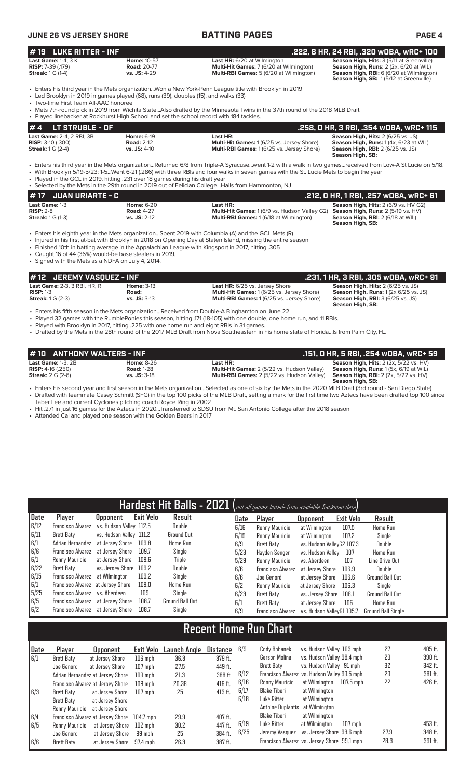| JUNE 26 VS JERSEY SHORE                                                                                                                                                                                                                                                                                                                                                                                                                                                                  |                              |                                                          |                                                                               | <b>BATTING PAGES</b>               |                                                                                                                            | <b>PAGE 4</b>   |                  |                                                                                                                                                                           |  |  |
|------------------------------------------------------------------------------------------------------------------------------------------------------------------------------------------------------------------------------------------------------------------------------------------------------------------------------------------------------------------------------------------------------------------------------------------------------------------------------------------|------------------------------|----------------------------------------------------------|-------------------------------------------------------------------------------|------------------------------------|----------------------------------------------------------------------------------------------------------------------------|-----------------|------------------|---------------------------------------------------------------------------------------------------------------------------------------------------------------------------|--|--|
| <b>LUKE RITTER - INF</b><br>#19                                                                                                                                                                                                                                                                                                                                                                                                                                                          |                              |                                                          |                                                                               |                                    |                                                                                                                            |                 |                  | .222, 8 HR, 24 RBI, .320 WOBA, WRC+ 100                                                                                                                                   |  |  |
| <b>Last Game: 1-4, 3 K</b><br><b>RISP: 7-39 (.179)</b><br><b>Streak:</b> 1 G (1-4)                                                                                                                                                                                                                                                                                                                                                                                                       |                              | <b>Home: 10-57</b><br><b>Road: 20-77</b><br>vs. JS: 4-29 |                                                                               | <b>Last HR:</b> 6/20 at Wilmington | Multi-Hit Games: 7 (6/20 at Wilmington)<br>Multi-RBI Games: 5 (6/20 at Wilmington)                                         |                 |                  | Season High, Hits: 3 (5/11 at Greenville)<br>Season High, Runs: 2 (2x, 6/20 at WIL)<br>Season High, RBI: 6 (6/20 at Wilmington)<br>Season High, SB: 1(5/12 at Greenville) |  |  |
| Enters his third year in the Mets organizationWon a New York-Penn League title with Brooklyn in 2019<br>• Led Brooklyn in 2019 in games played (68), runs (39), doubles (15), and walks (33)<br>• Two-time First Team All-AAC honoree                                                                                                                                                                                                                                                    |                              |                                                          |                                                                               |                                    |                                                                                                                            |                 |                  |                                                                                                                                                                           |  |  |
| • Mets 7th-round pick in 2019 from Wichita StateAlso drafted by the Minnesota Twins in the 37th round of the 2018 MLB Draft<br>• Played linebacker at Rockhurst High School and set the school record with 184 tackles.                                                                                                                                                                                                                                                                  |                              |                                                          |                                                                               |                                    |                                                                                                                            |                 |                  |                                                                                                                                                                           |  |  |
| LT STRUBLE - OF<br>#4                                                                                                                                                                                                                                                                                                                                                                                                                                                                    |                              |                                                          |                                                                               |                                    |                                                                                                                            |                 |                  | .258, 0 HR, 3 RBI, .354 w0BA, wRC+ 115                                                                                                                                    |  |  |
| Last Game: 2-4, 2 RBI, 3B<br><b>RISP: 3-10 (.300)</b><br><b>Streak:</b> 1 G (2-4)                                                                                                                                                                                                                                                                                                                                                                                                        |                              | <b>Home: 6-19</b><br><b>Road: 2-12</b><br>vs. JS: 4-10   |                                                                               | Last HR:                           | Multi-Hit Games: 1 (6/25 vs. Jersey Shore)<br>Multi-RBI Games: 1 (6/25 vs. Jersey Shore)                                   |                 | Season High, SB: | Season High, Hits: 2 (6/25 vs. JS)<br>Season High, Runs: 1 (4x, 6/23 at WIL)<br><b>Season High, RBI:</b> 2 (6/25 vs. JS)                                                  |  |  |
| • Enters his third year in the Mets organizationReturned 6/8 from Triple-A Syracusewent 1-2 with a walk in two gamesreceived from Low-A St Lucie on 5/18.<br>• With Brooklyn 5/19-5/23: 1-5Went 6-21 (.286) with three RBIs and four walks in seven games with the St. Lucie Mets to begin the year<br>• Played in the GCL in 2019, hitting .231 over 18 games during his draft year<br>• Selected by the Mets in the 29th round in 2019 out of Felician CollegeHails from Hammonton, NJ |                              |                                                          |                                                                               |                                    |                                                                                                                            |                 |                  |                                                                                                                                                                           |  |  |
| <b>JUAN URIARTE - C</b><br># 17                                                                                                                                                                                                                                                                                                                                                                                                                                                          |                              |                                                          |                                                                               |                                    |                                                                                                                            |                 |                  | .212, 0 HR, 1 RBI, .257 w0BA, wRC+ 61                                                                                                                                     |  |  |
| Last Game: 1-3<br>$RISP: 2-8$<br><b>Streak:</b> 1 G (1-3)                                                                                                                                                                                                                                                                                                                                                                                                                                |                              | <b>Home: 6-20</b><br><b>Road: 4-27</b><br>vs. JS: 2-12   |                                                                               | Last HR:                           | <b>Multi-Hit Games: 1 (6/9 vs. Hudson Valley G2)</b><br>Multi-RBI Games: 1 (6/18 at Wilmington)                            |                 | Season High, SB: | Season High, Hits: 2 (6/9 vs. HV G2)<br>Season High, Runs: 2 (5/19 vs. HV)<br>Season High, RBI: 2 (6/18 at WIL)                                                           |  |  |
| · Enters his eighth year in the Mets organizationSpent 2019 with Columbia (A) and the GCL Mets (R)<br>• Injured in his first at-bat with Brooklyn in 2018 on Opening Day at Staten Island, missing the entire season<br>. Finished 10th in batting average in the Appalachian League with Kingsport in 2017, hitting .305<br>• Caught 16 of 44 (36%) would-be base stealers in 2019.<br>• Signed with the Mets as a NDFA on July 4, 2014.                                                |                              |                                                          |                                                                               |                                    |                                                                                                                            |                 |                  |                                                                                                                                                                           |  |  |
| # 12                                                                                                                                                                                                                                                                                                                                                                                                                                                                                     | <b>JEREMY VASQUEZ - INF</b>  |                                                          |                                                                               |                                    |                                                                                                                            |                 |                  | .231, 1 HR, 3 RBI, .305 wOBA, wRC+ 91                                                                                                                                     |  |  |
| Last Game: 2-3, 3 RBI, HR, R<br>$RISP: 1-3$<br><b>Streak:</b> 1 G (2-3)                                                                                                                                                                                                                                                                                                                                                                                                                  |                              | <b>Home: 3-13</b><br>Road:<br>vs. JS: 3-13               |                                                                               |                                    | Last HR: 6/25 vs. Jersey Shore<br>Multi-Hit Games: 1 (6/25 vs. Jersey Shore)<br>Multi-RBI Games: 1 (6/25 vs. Jersey Shore) |                 | Season High, SB: | Season High, Hits: 2 (6/25 vs. JS)<br>Season High, Runs: 1 (2x 6/25 vs. JS)<br><b>Season High, RBI: 3 (6/25 vs. JS)</b>                                                   |  |  |
| Enters his fifth season in the Mets organizationReceived from Double-A Binghamton on June 22<br>• Played 32 games with the RumblePonies this season, hitting 171 (18-105) with one double, one home run, and 11 RBIs.<br>• Played with Brooklyn in 2017, hitting .225 with one home run and eight RBIs in 31 games.<br>• Drafted by the Mets in the 28th round of the 2017 MLB Draft from Nova Southeastern in his home state of FloridaIs from Palm City, FL.                           |                              |                                                          |                                                                               |                                    |                                                                                                                            |                 |                  |                                                                                                                                                                           |  |  |
|                                                                                                                                                                                                                                                                                                                                                                                                                                                                                          | <b>ANTHONY WALTERS - INF</b> |                                                          |                                                                               |                                    |                                                                                                                            |                 |                  | .151, O HR, 5 RBI, .254 wOBA, wRC+ 59                                                                                                                                     |  |  |
| <b>Last Game: 1-3, 2B</b><br><b>RISP:</b> 4-16 $(.250)$<br><b>Streak: 2 G (2-6)</b>                                                                                                                                                                                                                                                                                                                                                                                                      |                              | <b>Home: 8-26</b><br><b>Road: 1-28</b><br>vs. JS: 3-18   |                                                                               | Last HR:                           | <b>Multi-Hit Games:</b> 2 (5/22 vs. Hudson Valley)<br>Multi-RBI Games: 2 (5/22 vs. Hudson Valley)                          |                 | Season High, SB: | Season High, Hits: 2 (2x, 5/22 vs. HV)<br>Season High, Runs: 1(5x, 6/19 at WIL)<br><b>Season High, RBI:</b> 2 (2x, 5/22 vs. HV)                                           |  |  |
| · Enters his second year and first season in the Mets organizationSelected as one of six by the Mets in the 2020 MLB Draft (3rd round - San Diego State)<br>• Drafted with teammate Casey Schmitt (SFG) in the top 100 picks of the MLB Draft, setting a mark for the first time two Aztecs have been drafted top 100 since<br>Taber Lee and current Cyclones pitching coach Royce Ring in 2002                                                                                          |                              |                                                          |                                                                               |                                    |                                                                                                                            |                 |                  |                                                                                                                                                                           |  |  |
| • Hit .271 in just 16 games for the Aztecs in 2020Transferred to SDSU from Mt. San Antonio College after the 2018 season<br>• Attended Cal and played one season with the Golden Bears in 2017                                                                                                                                                                                                                                                                                           |                              |                                                          |                                                                               |                                    |                                                                                                                            |                 |                  |                                                                                                                                                                           |  |  |
|                                                                                                                                                                                                                                                                                                                                                                                                                                                                                          |                              |                                                          |                                                                               |                                    |                                                                                                                            |                 |                  |                                                                                                                                                                           |  |  |
|                                                                                                                                                                                                                                                                                                                                                                                                                                                                                          |                              |                                                          |                                                                               |                                    |                                                                                                                            |                 |                  |                                                                                                                                                                           |  |  |
|                                                                                                                                                                                                                                                                                                                                                                                                                                                                                          |                              |                                                          |                                                                               |                                    |                                                                                                                            |                 |                  |                                                                                                                                                                           |  |  |
|                                                                                                                                                                                                                                                                                                                                                                                                                                                                                          |                              |                                                          | Hardest Hit Balls - 2021 (not all games listed- from available Trackman data) |                                    |                                                                                                                            |                 |                  |                                                                                                                                                                           |  |  |
| Player<br>Date                                                                                                                                                                                                                                                                                                                                                                                                                                                                           | <b>Opponent</b>              | <b>Exit Velo</b>                                         | Result                                                                        | Date                               | Player                                                                                                                     | <b>Opponent</b> | <b>Exit Velo</b> | Result                                                                                                                                                                    |  |  |

|                                           |                                           |                         |           |                 |      | <b>TIGIGLU LIIL DUIIU LULL</b> ( <i>IIII dii qaines iisteu- II viiii availavie Tiaukinan uata</i> j |                           |           |                           |
|-------------------------------------------|-------------------------------------------|-------------------------|-----------|-----------------|------|-----------------------------------------------------------------------------------------------------|---------------------------|-----------|---------------------------|
| Date                                      | Player                                    | <b>Opponent</b>         | Exit Velo | Result          | Date | Player                                                                                              | <b>Opponent</b>           | Exit Velo | Result                    |
| 6/12                                      | Francisco Alvarez vs. Hudson Valley 112.5 |                         |           | Double          | 6/16 | Ronny Mauricio                                                                                      | at Wilmington             | 107.5     | Home Run                  |
| 6/11                                      | Brett Baty                                | vs. Hudson Valley 111.2 |           | Ground Out      | 6/15 | Ronny Mauricio                                                                                      | at Wilmington             | 107.2     | Single                    |
| $\begin{array}{c} 6/1 \\ 6/6 \end{array}$ | Adrian Hernandez at Jersey Shore 109.8    |                         |           | Home Run        | 6/9  | Brett Batv                                                                                          | vs. Hudson VallevG2 107.3 |           | Double                    |
|                                           | Francisco Alvarez at Jersey Shore         |                         | 109.7     | Single          | 5/23 | Hayden Senger                                                                                       | vs. Hudson Valley         | 107       | Home Run                  |
| 6/1                                       | Ronny Mauricio                            | at Jersey Shore         | 109.6     | Triple          | 5/29 | Ronny Mauricio                                                                                      | vs. Aberdeen              | 107       | Line Drive Out            |
| 6/22                                      | Brett Batv                                | vs. Jersey Shore 109.2  |           | Double          | 6/6  | Francisco Alvarez                                                                                   | at Jersev Shore           | 106.9     | Double                    |
| 6/15                                      | Francisco Alvarez at Wilmington           |                         | 109.2     | Single          | 6/6  | Joe Genord                                                                                          | at Jersey Shore           | 106.6     | <b>Ground Ball Out</b>    |
| 6/1                                       | Francisco Alvarez at Jersey Shore         |                         | 109.0     | Home Run        | 6/2  | Ronny Mauricio                                                                                      | at Jersey Shore           | 106.3     | Sinale                    |
| 5/25                                      | Francisco Alvarez vs. Aberdeen            |                         | 109       | Single          | 6/23 | Brett Baty                                                                                          | vs. Jersey Shore 106.1    |           | Ground Ball Out           |
| 6/5                                       | Francisco Alvarez at Jersey Shore         |                         | 108.7     | Ground Ball Out | 6/1  | Brett Baty                                                                                          | at Jersey Shore           | 106       | Home Run                  |
| 6/2                                       | Francisco Alvarez at Jersey Shore         |                         | 108.7     | Single          | 6/9  | Francisco Alvarez                                                                                   | vs. Hudson ValleyG1 105.7 |           | <b>Ground Ball Single</b> |

# **Recent Home Run Chart**

| Date                                      | Player         | <b>Opponent</b>                   | Exit Velo         | Launch Angle | Distance  | 6/9  | Cody Bohanek                    | vs. Hudson Valley 103 mph                    |             | 27   | 405 ft. |
|-------------------------------------------|----------------|-----------------------------------|-------------------|--------------|-----------|------|---------------------------------|----------------------------------------------|-------------|------|---------|
| 6/1                                       | Brett Baty     | at Jersey Shore                   | $106$ mph         | 36.3         | 379 ft.   |      | Gerson Molina                   | vs. Hudson Valley 98.4 mph                   |             | 29   | 390 ft. |
|                                           | Joe Genord     | at Jersev Shore                   | $107$ mph         | 27.5         | 449 ft.   |      | Brett Baty                      | vs. Hudson Valley 91 mph                     |             | 32   | 342 ft. |
|                                           |                | Adrian Hernandez at Jersey Shore  | $109$ mph         | 21.3         | 388 ft    | 6/12 |                                 | Francisco Alvarez vs. Hudson Valley 99.5 mph |             | 29   | 381 ft. |
|                                           |                | Francisco Alvarez at Jersey Shore | $109$ mph         | 20.38        | 416 ft.   | 6/16 | Ronny Mauricio                  | at Wilmington                                | $107.5$ mph | 22   | 426 ft. |
| 6/3                                       | Brett Baty     | at Jersey Shore                   | $107$ mph         | 25           | 413 ft.   | 6/17 | Blake Tiberi                    | at Wilmington                                |             |      |         |
|                                           | Brett Baty     | at Jersey Shore                   |                   |              |           | 6/18 | Luke Ritter                     | at Wilmington                                |             |      |         |
|                                           | Ronny Mauricio | at Jersey Shore                   |                   |              |           |      | Antoine Duplantis at Wilmington |                                              |             |      |         |
|                                           |                | Francisco Alvarez at Jersey Shore | 104.7 mph         | 29.9         | 407 ft.   |      | Blake Tiberi                    | at Wilmington                                |             |      |         |
| $\begin{array}{c} 6/4 \\ 6/5 \end{array}$ | Ronny Mauricio | at Jersey Shore                   | $102 \text{ mph}$ | 30.2         | 447 ft.   | 6/19 | Luke Ritter                     | at Wilmington                                | $107$ mph   |      | 453 ft. |
|                                           | Joe Genord     | at Jersev Shore                   | 99 mph            | 25           | 384 ft.   | 6/25 |                                 | Jeremy Vasquez vs. Jersey Shore 93.6 mph     |             | 27.9 | 348 ft. |
| 6/6                                       | Brett Baty     | at Jersev Shore                   | 97.4 mph          | 26.3         | $387$ ft. |      |                                 | Francisco Alvarez vs. Jersey Shore 99.1 mph  |             | 28.3 | 391 ft. |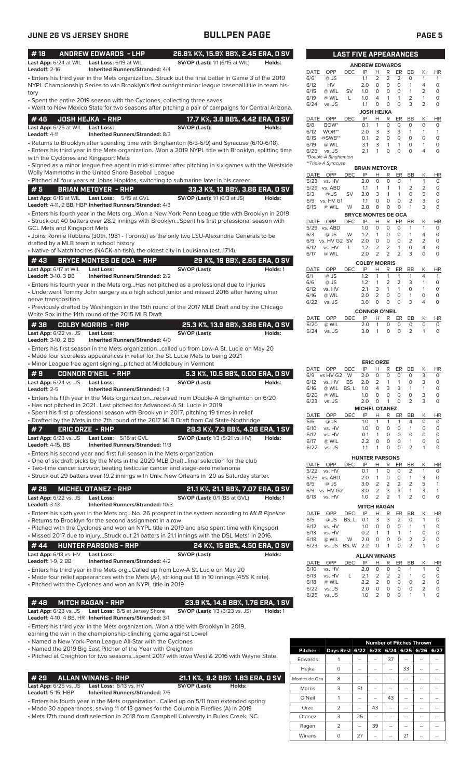| #18                        |                                    | <b>ANDREW EDWARDS - LHP</b>                                                                         | 26.8% K%, 15.9% BB%, 2.45 ERA, 0 SV    |          |              |                       |            | <b>LAST FIVE APPEARANCES</b> |                                              |                                                    |                                |                |                              |
|----------------------------|------------------------------------|-----------------------------------------------------------------------------------------------------|----------------------------------------|----------|--------------|-----------------------|------------|------------------------------|----------------------------------------------|----------------------------------------------------|--------------------------------|----------------|------------------------------|
| Leadoff: 2-16              |                                    | Last App: 6/24 at WIL Last Loss: 6/19 at WIL<br><b>Inherited Runners/Stranded: 4/4</b>              | <b>SV/OP (Last):</b> 1/1 (6/15 at WIL) | Holds:   |              |                       |            | <b>ANDREW EDWARDS</b>        |                                              |                                                    |                                |                |                              |
|                            |                                    | · Enters his third year in the Mets organizationStruck out the final batter in Game 3 of the 2019   |                                        |          | DATE<br>6/6  | OPP<br>@ JS           | DEC        | IP<br>1.1                    | н<br>2                                       | R<br>ER<br>2<br>$\overline{2}$                     | BB<br>0                        | К<br>1         | <b>HR</b><br>$\mathbf{1}$    |
|                            |                                    | NYPL Championship Series to win Brooklyn's first outright minor league baseball title in team his-  |                                        |          | 6/12         | HV                    |            | 2.0                          | $\circ$                                      | $\circ$<br>$\circ$                                 | $\mathbf{1}$                   | 4              | 0                            |
| tory                       |                                    |                                                                                                     |                                        |          | 6/15         | @ WIL                 | SV         | 1.0                          | 0                                            | $\circ$<br>0                                       | $\mathbf{1}$                   | 2              | $\circ$                      |
|                            |                                    | • Spent the entire 2019 season with the Cyclones, collecting three saves                            |                                        |          | 6/19         | @ WIL                 | L          | 1.0                          | $\overline{4}$                               | $\mathbf{1}$<br>$\mathbf{1}$                       | $\overline{2}$                 | 1              | $\mathbf 0$                  |
|                            |                                    | . Went to New Mexico State for two seasons after pitching a pair of campaigns for Central Arizona.  |                                        |          | 6/24         | vs. JS                |            | 1.1                          | $\circ$                                      | $\circ$<br>$\circ$                                 | 3                              | $\overline{2}$ | $\mathbf 0$                  |
| #46                        |                                    | <b>JOSH HEJKA - RHP</b>                                                                             | 17.7 K%, 3.8 BB%, 4.42 ERA, 0 SV       |          | DATE         | OPP                   | DEC        | <b>JOSH HEJKA</b><br>IP      | н                                            | R                                                  | ER<br>BB                       | К              | <b>HR</b>                    |
|                            | Last App: 6/25 at WIL Last Loss:   |                                                                                                     | SV/OP (Last):                          | Holds:   | 6/8          | BOW <sup>*</sup>      |            | 0.1                          | $\mathbf{1}$                                 | 0<br>0                                             | 0                              | $\circ$        | 0                            |
| Leadoff: 4-11              |                                    | Inherited Runners/Stranded: 8/3                                                                     |                                        |          | 6/12         | WOR**                 |            | 2.0                          | 3                                            | 3<br>3                                             | $\mathbf{1}$                   | 1              | $\mathbf{1}$                 |
|                            |                                    | • Returns to Brooklyn after spending time with Binghamton (6/3-6/9) and Syracuse (6/10-6/18).       |                                        |          | 6/15<br>6/19 | $@SWB**$<br>@ WIL     |            | 0.1<br>3.1                   | $\overline{2}$<br>3                          | $\mathbf 0$<br>0<br>$\mathbf{1}$<br>$\mathbf{1}$   | $\circ$<br>$\circ$             | $\circ$<br>1   | $\mathbf 0$<br>0             |
|                            |                                    | Enters his third year in the Mets organizationWon a 2019 NYPL title with Brooklyn, splitting time • |                                        |          | 6/25         | vs. JS                |            | 2.1                          | $\mathbf{1}$                                 | $\circ$<br>$\circ$                                 | $\circ$                        | 4              | $\mathbf 0$                  |
|                            |                                    | with the Cyclones and Kingsport Mets                                                                |                                        |          |              | *Double-A Binghamton  |            |                              |                                              |                                                    |                                |                |                              |
|                            |                                    | · Signed as a minor league free agent in mid-summer after pitching in six games with the Westside   |                                        |          |              | **Triple-A Syracuse   |            | <b>BRIAN METOYER</b>         |                                              |                                                    |                                |                |                              |
|                            |                                    | Wolly Mammoths in the United Shore Baseball League                                                  |                                        |          | DATE         | OPP                   | DEC        | IP                           | Н                                            | R                                                  | ER<br>BB                       | Κ              | <b>HR</b>                    |
|                            |                                    | · Pitched all four years at Johns Hopkins, switching to submarine later in his career.              |                                        |          | 5/23         | vs. HV                |            | 2.0                          | $\circ$                                      | $\mathbf 0$<br>0                                   | $\mathbf{1}$                   | 1              | 0                            |
| #5                         |                                    | <b>BRIAN METOYER - RHP</b>                                                                          | 33.3 K%, 13 BB%, 3.86 ERA, 0 SV        |          | 6/3          | 5/29 vs. ABD<br>@ JS  | <b>SV</b>  | 1.1<br>2.0                   | -1<br>3                                      | $\mathbf{1}$<br>-1<br>$\mathbf{1}$<br>$\mathbf{1}$ | $\overline{2}$<br>$\circ$      | 2<br>5         | $\circ$<br>$\circ$           |
|                            | Last App: 6/15 at WIL              | Last Loss:<br>5/15 at GVL                                                                           | <b>SV/OP (Last):</b> 1/1 (6/3 at JS)   | Holds:   | 6/9          | vs. HV G1             |            | 1.1                          | 0                                            | $\mathbf 0$<br>$\mathbf 0$                         | $\overline{2}$                 | 3              | $\circ$                      |
|                            |                                    | Leadoff: 4-11, 2 BB, HBP Inherited Runners/Stranded: 4/3                                            |                                        |          | 6/15         | @ WIL                 | W          | 2.0                          | $\circ$                                      | $\mathbf 0$<br>$\mathbf 0$                         | $\mathbf{1}$                   | 3              | $\mathbf 0$                  |
|                            |                                    | · Enters his fourth year in the Mets orgWon a New York Penn League title with Brooklyn in 2019      |                                        |          |              |                       |            | <b>BRYCE MONTES DE OCA</b>   |                                              |                                                    |                                |                |                              |
|                            |                                    | Struck out 40 batters over 28.2 innings with BrooklynSpent his first professional season with •     |                                        |          | DATE<br>5/29 | OPP<br>vs. ABD        | DEC        | IP<br>1.0                    | н<br>$\mathbf 0$                             | R<br>ER<br>$\mathbf 0$<br>0                        | BB<br>$\mathbf{1}$             | Κ<br>1         | <b>HR</b><br>0               |
|                            | <b>GCL Mets and Kingsport Mets</b> | • Joins Ronnie Robbins (30th, 1981 - Toronto) as the only two LSU-Alexandria Generals to be         |                                        |          | 6/3          | @ JS                  | W          | 1.2                          | $\mathbf{1}$                                 | $\mathbf 0$<br>$\circ$                             | $\mathbf{1}$                   | 4              | $\circ$                      |
|                            |                                    | drafted by a MLB team in school history                                                             |                                        |          | 6/9          | vs. HV G2 SV          |            | 2.0                          | $\circ$                                      | $\mathbf 0$<br>$\circ$                             | $\overline{2}$                 | 2              | $\mathsf{O}\xspace$          |
|                            |                                    | · Native of Natchitoches (NACK-ah-tish), the oldest city in Louisiana (est. 1714).                  |                                        |          | 6/12         | vs. HV                | L          | 1.2                          | $\overline{2}$                               | $\overline{2}$<br>$\mathbf{1}$                     | $\circ$                        | 4              | $\mathbf 0$                  |
| #43                        |                                    | <b>BRYCE MONTES DE OCA - RHP</b>                                                                    | 29 K%, 19 BB%, 2.65 ERA, 0 SV          |          | 6/17         | @ WIL                 |            | 2.0                          | $\overline{2}$                               | 2<br>$\overline{2}$                                | 3                              | $\circ$        | $\mathbf 0$                  |
|                            |                                    |                                                                                                     |                                        |          |              |                       |            | <b>COLBY MORRIS</b>          |                                              |                                                    |                                |                |                              |
| <b>Leadoff: 3-10, 3 BB</b> | Last App: 6/17 at WIL              | <b>Last Loss:</b><br><b>Inherited Runners/Stranded: 2/2</b>                                         | SV/OP (Last):                          | Holds: 1 | DATE<br>6/1  | OPP<br>@ JS           | <b>DEC</b> | IP<br>1.2                    | н<br>$\mathbf{1}$                            | R<br>ER<br>1<br>1                                  | BB<br>$\mathbf{1}$             | К<br>4         | HR<br>$\mathbf{1}$           |
|                            |                                    | $\bullet$ Enters his fourth year in the Mets orgHas not pitched as a professional due to injuries   |                                        |          | 6/6          | @ JS                  |            | 1.2                          | $\mathbf{1}$                                 | 2<br>$\overline{2}$                                | 3                              | 1              | 0                            |
|                            |                                    | • Underwent Tommy John surgery as a high school junior and missed 2016 after having ulnar           |                                        |          | 6/12         | vs. HV                |            | 2.1                          | 3                                            | $\mathbf{1}$<br>$\mathbf{1}$                       | $\circ$                        | 1              | $\mathbf 0$                  |
|                            | nerve transposition                |                                                                                                     |                                        |          | 6/16         | @ WIL                 |            | 2.0                          | $\overline{2}$                               | $\circ$<br>0                                       | $\mathbf{1}$                   | 0              | $\mathbf 0$                  |
|                            |                                    | • Previously drafted by Washington in the 15th round of the 2017 MLB Draft and by the Chicago       |                                        |          | 6/22         | vs. JS                |            | 3.0                          | $\mathbf 0$                                  | $\circ$<br>$\mathbf 0$                             | 3                              | 4              | $\circ$                      |
|                            |                                    | White Sox in the 14th round of the 2015 MLB Draft.                                                  |                                        |          |              | OPP                   |            | <b>CONNOR O'NEIL</b><br>IP   |                                              |                                                    | <b>BB</b>                      | K              |                              |
| #38                        |                                    | <b>COLBY MORRIS - RHP</b>                                                                           | 25.3 K%, 13.9 BB%, 3.86 ERA, 0 SV      |          | DATE<br>6/20 | @ WIL                 | <b>DEC</b> | 2.0                          | Н<br>$\mathbf{1}$                            | R<br>$\mathbf 0$<br>0                              | ER<br>0                        | $\circ$        | <b>HR</b><br>0               |
|                            | <b>Last App:</b> 6/22 vs. JS       | <b>Last Loss:</b>                                                                                   | SV/OP (Last):                          | Holds:   | 6/24         | vs. JS                |            | 3.0                          | $\overline{1}$                               | $\circ$<br>$\circ$                                 | 2                              | $\mathbf{1}$   | $\circ$                      |
| <b>Leadoff:</b> 3-10, 2 BB |                                    | <b>Inherited Runners/Stranded: 4/0</b>                                                              |                                        |          |              |                       |            |                              |                                              |                                                    |                                |                |                              |
|                            |                                    | • Enters his first season in the Mets organizationcalled up from Low-A St. Lucie on May 20          |                                        |          |              |                       |            |                              |                                              |                                                    |                                |                |                              |
|                            |                                    | · Made four scoreless appearances in relief for the St. Lucie Mets to being 2021                    |                                        |          |              |                       |            |                              |                                              |                                                    |                                |                |                              |
|                            |                                    | • Minor League free agent signingpitched at Middlebury in Vermont                                   |                                        |          |              | OPP                   |            | IP                           | <b>ERIC ORZE</b><br>н                        | R                                                  |                                |                |                              |
| #9                         |                                    | <b>CONNOR O'NEIL - RHP</b>                                                                          | 5.3 K%, 10.5 BB%, 0.00 ERA, 0 SV       |          | DATE<br>6/9  | vs HV G2 W            | DEC        | 2.0                          | 0                                            | 0<br>0                                             | ER<br>BB<br>0                  | К<br>3         | <b>HR</b><br>0               |
|                            | Last App: 6/24 vs. JS              | <b>Last Loss:</b>                                                                                   | SV/OP (Last):                          | Holds:   | 6/12         | vs. HV                | BS         | 2.0                          | $\overline{2}$                               | $\mathbf{1}$<br>$\mathbf{1}$                       | $\circ$                        | 3              | $\mathsf O$                  |
| Leadoff: 2-5               |                                    | <b>Inherited Runners/Stranded: 1-3</b>                                                              |                                        |          | 6/16         | @ WIL BS, L 1.0       |            |                              | 4                                            | 3<br>3                                             | $\mathbf{1}$                   | 1              | $\mathbf 0$                  |
|                            |                                    | Enters his fifth year in the Mets organizationreceived from Double-A Binghamton on 6/20 •           |                                        |          | 6/20<br>6/23 | @ WIL<br>vs. JS       |            | 1.0<br>2.0                   | $\Omega$<br>$\overline{1}$<br>$\overline{0}$ | $\Omega$<br>$\Omega$<br>$\overline{0}$             | $\Omega$<br>2                  | 3<br>3         | $\Omega$<br>$\mathbf 0$      |
|                            |                                    | • Has not pitched in 2021Last pitched for Advanced-A St. Lucie in 2019                              |                                        |          |              |                       |            | <b>MICHEL OTANEZ</b>         |                                              |                                                    |                                |                |                              |
|                            |                                    | · Spent his first professional season with Brooklyn in 2017, pitching 19 times in relief            |                                        |          | DATE         | OPP                   | <b>DEC</b> | IP                           | н                                            | R<br>ER                                            | BB                             | Κ              | <b>HR</b>                    |
|                            |                                    | • Drafted by the Mets in the 7th round of the 2017 MLB Draft from Cal State-Northridge              |                                        |          | 6/6          | @ JS                  |            | 1.0                          | 1                                            | 1<br>-1                                            | 4                              | 0              | 0                            |
| #7                         | <b>ERIC ORZE - RHP</b>             |                                                                                                     | 29.3 K%, 7.3 BB%, 4.26 ERA, 1 SV       |          | 6/10         | vs. HV                |            | 1.0                          | 0                                            | 0<br>0                                             | $\mathbf{1}$                   | 0              | $\circ$                      |
|                            | <b>Last App:</b> 6/23 vs. JS       | Last Loss: 5/16 at GVL                                                                              | <b>SV/OP (Last):</b> 1/3 (5/21 vs. HV) | Holds:   | 6/12<br>6/17 | vs. HV<br>@ WIL       |            | 0.1<br>2.2                   | $\mathbf{1}$<br>0                            | 0<br>0<br>0<br>0                                   | 0<br>$\mathbf{1}$              | 0<br>0         | $\circ$<br>0                 |
| <b>Leadoff:</b> 4-15, BB   |                                    | Inherited Runners/Stranded: 11/3                                                                    |                                        |          | 6/22         | vs. JS                |            | 1.1                          | 1                                            | 0<br>$\circ$                                       | $\overline{2}$                 | 1              | 0                            |
|                            |                                    | • Enters his second year and first full season in the Mets organization                             |                                        |          |              |                       |            | <b>HUNTER PARSONS</b>        |                                              |                                                    |                                |                |                              |
|                            |                                    | ∙ One of six draft picks by the Mets in the 2020 MLB Draft…final selection for the club             |                                        |          | DATE         | OPP                   | <b>DEC</b> | IP                           | Н                                            | <u>R</u><br>ER                                     | <b>BB</b>                      | Κ              | HR                           |
|                            |                                    | • Two-time cancer survivor, beating testicular cancer and stage-zero melanoma                       |                                        |          | 5/22         | vs. HV                |            | 0.1                          | 1                                            | 0<br>0                                             | 2                              | 1              | 0                            |
|                            |                                    | Struck out 29 batters over 19.2 innings with Univ. New Orleans in '20 as Saturday starter.          |                                        |          |              | 5/25 vs. ABD          |            | 2.0                          | $\mathbf{1}$                                 | 0<br>0                                             | 1                              | 3              | 0                            |
| # 26                       |                                    | <b>MICHEL OTANEZ - RHP</b>                                                                          | 21.1 K%, 21.1 BB%, 7.07 ERA, 0 SV      |          | 6/5          | @ JS<br>6/9 vs. HV G2 |            | 3.0<br>3.0                   | $\overline{2}$<br>2                          | $\overline{2}$<br>$\overline{2}$<br>3<br>3         | $\overline{2}$<br>$\mathbf{1}$ | 5<br>3         | $\mathbf{1}$<br>$\mathbf{1}$ |
|                            | Last App: 6/22 vs. JS              | <b>Last Loss:</b>                                                                                   | SV/OP (Last): 0/1 (BS at GVL)          | Holds: 1 | 6/13         | vs. HV                |            | 1.0                          | 2                                            | $\overline{2}$<br>1                                | $\overline{2}$                 | 0              | $\circ$                      |
| <b>Leadoff: 3-13</b>       |                                    | Inherited Runners/Stranded: 10/3                                                                    |                                        |          |              |                       |            | <b>MITCH RAGAN</b>           |                                              |                                                    |                                |                |                              |
|                            |                                    | • Enters his sixth year in the Mets orgNo. 26 prospect in the system according to MLB Pipeline      |                                        |          | DATE         | OPP                   | DEC        | IP                           | <u>н</u>                                     | $\mathsf R$                                        | ER<br>BB                       | Κ              | HR                           |
|                            |                                    | · Returns to Brooklyn for the second assignment in a row                                            |                                        |          | 6/5          | @ JS                  | BS, L      | 0.1                          | 3                                            | 3                                                  | 2<br>0                         | 1              | 0                            |
|                            |                                    | • Pitched with the Cyclones and won an NYPL title in 2019 and also spent time with Kingsport        |                                        |          | 6/12         | vs. HV                |            | 1.0                          | 0                                            | 0<br>0                                             | $\mathbf{1}$                   | 1              | 0                            |
|                            |                                    | • Missed 2017 due to injuryStruck out 21 batters in 21.1 innings with the DSL Mets1 in 2016.        |                                        |          | 6/13<br>6/18 | vs. HV<br>@ WIL       | W          | 0.2<br>2.0                   | 1<br>0                                       | $\mathbf{1}$<br>1<br>0<br>0                        | $\mathbf{1}$<br>$\overline{2}$ | 0<br>2         | $\circ$<br>0                 |
| #44                        |                                    | <b>HUNTER PARSONS - RHP</b>                                                                         | 24 K%, 15 BB%, 4.50 ERA, 0 SV          |          | 6/23         | vs. JS BS, W 2.2      |            |                              | 0                                            | $\mathbf 0$<br>$\mathbf{1}$                        | $\overline{2}$                 | 1              | $\mathsf{O}\xspace$          |
|                            | Last App: 6/13 vs. HV              | <b>Last Loss:</b>                                                                                   | SV/OP (Last):                          | Holds:   |              |                       |            | <b>ALLAN WINANS</b>          |                                              |                                                    |                                |                |                              |
| <b>Leadoff:</b> 1-9, 2 BB  |                                    | <b>Inherited Runners/Stranded: 4/2</b>                                                              |                                        |          | DATE         | OPP                   | DEC        | IP                           | Н                                            | R                                                  | <b>BB</b><br>ER                | Κ              | HR                           |
|                            |                                    | • Enters his third year in the Mets orgCalled up from Low-A St. Lucie on May 20                     |                                        |          | 6/10         | vs. HV                |            | 2.0                          | 0                                            | 0<br>0                                             | 1                              | 1              | 0                            |
|                            |                                    | • Made four relief appearances with the Mets (A-), striking out 18 in 10 innings (45% K rate).      |                                        |          | 6/13         | vs. HV                | L          | 2.1                          | 2<br>$\overline{2}$                          | $\overline{c}$<br>0<br>0                           | 2<br>$\mathbf{1}$<br>0         | 0<br>2         | 0<br>$\circ$                 |
|                            |                                    | • Pitched with the Cyclones and won an NYPL title in 2019                                           |                                        |          | 6/18<br>6/22 | @ WIL<br>vs. JS       |            | 2.2<br>2.0                   | 0                                            | $\circ$<br>$\mathbf 0$                             | 0                              | 2              | $\mathsf{O}\xspace$          |
|                            |                                    |                                                                                                     |                                        |          | 6/25         | vs. JS                |            | 1.0                          | $\overline{2}$                               | 0<br>$\mathbf 0$                                   | $\mathbf{1}$                   | 1              | 0                            |
| #48                        |                                    | <b>MITCH RAGAN - RHP</b>                                                                            | 23.9 K%, 14.9 BB%, 1.76 ERA, 1 SV      |          |              |                       |            |                              |                                              |                                                    |                                |                |                              |

## **Last App:** 6/23 vs. JS **Last Loss:** 6/5 at Jersey Shore **SV/OP (Last):** 1/3 (6/23 vs. JS) **Holds:** 1

**Leadoff:** 4-10, 4 BB, HR **Inherited Runners/Stranded:** 3/1

- Enters his third year in the Mets organization...Won a title with Brooklyn in 2019,
- earning the win in the championship-clinching game against Lowell
- Named a New York-Penn League All-Star with the Cyclones
- Named the 2019 Big East Pitcher of the Year with Creighton

• Pitched at Creighton for two seasons...spent 2017 with Iowa West & 2016 with Wayne State.

**# 29 ALLAN WINANS - RHP 21.1 K%, 9.2 BB% 1.83 ERA, 0 SV Last App:** 6/25 vs. JS **Last Loss:** 6/13 vs. HV **SV/OP (Last): Holds:**

**Leadoff:** 5-15, HBP **Inherited Runners/Stranded:** 7/6

- Enters his fourth year in the Mets organization...Called up on 5/11 from extended spring
- Made 30 appearances, saving 11 of 13 games for the Columbia Fireflies (A) in 2019
- Mets 17th round draft selection in 2018 from Campbell University in Buies Creek, NC.

|                |                                         | <b>Number of Pitches Thrown</b> |    |    |    |    |  |  |  |  |  |  |
|----------------|-----------------------------------------|---------------------------------|----|----|----|----|--|--|--|--|--|--|
| <b>Pitcher</b> | Days Rest 6/22 6/23 6/24 6/25 6/26 6/27 |                                 |    |    |    |    |  |  |  |  |  |  |
| Edwards        |                                         | --                              |    | 37 | -- |    |  |  |  |  |  |  |
| Hejka          | $\Omega$                                | --                              |    |    | 33 | -- |  |  |  |  |  |  |
| Montes de Oca  | 8                                       |                                 |    |    | -- |    |  |  |  |  |  |  |
| <b>Morris</b>  | 3                                       | 51                              |    |    | -- | -- |  |  |  |  |  |  |
| O'Neil         |                                         |                                 |    | 43 |    |    |  |  |  |  |  |  |
| Orze           | $\overline{2}$                          |                                 | 43 |    |    |    |  |  |  |  |  |  |
| Otanez         | 3                                       | 25                              |    |    |    |    |  |  |  |  |  |  |
| Ragan          | $\overline{2}$                          | --                              | 39 |    |    |    |  |  |  |  |  |  |
| Winans         | ი                                       | 27                              |    |    | 21 |    |  |  |  |  |  |  |

| <b>LAST FIVE APPEARANCES</b> |                      |     |                   |          |          |          |                |   |           |  |
|------------------------------|----------------------|-----|-------------------|----------|----------|----------|----------------|---|-----------|--|
| <b>ANDREW EDWARDS</b>        |                      |     |                   |          |          |          |                |   |           |  |
| DATE                         | OPP                  | DEC | IP                | н        | R        | ER       | ВB             | Κ | HR        |  |
| 6/6                          | @ JS                 |     | 1.1               | 2        | 2        | 2        | O              | 1 | 1         |  |
| 6/12                         | HV                   |     | 2.0               | 0        | 0        | $\Omega$ | 1              | 4 | 0         |  |
| 6/15                         | @ WIL                | SV  | 1.0               | $\Omega$ | 0        | O        | 1              | 2 | 0         |  |
| 6/19                         | @ WIL                | L   | 1.0               | 4        | 1        | 1        | $\overline{2}$ | 1 | 0         |  |
| 6/24                         | vs. JS               |     | 1.1               | 0        | $\Omega$ | $\Omega$ | 3              | 2 | 0         |  |
|                              |                      |     | <b>JOSH HEJKA</b> |          |          |          |                |   |           |  |
| DATE                         | OPP                  | DEC | IP                | н        | R        | ER       | BB             | Κ | <b>HR</b> |  |
| 6/8                          | BOW <sup>*</sup>     |     | 0.1               | 1        | 0        | $\Omega$ | O              | 0 | Ο         |  |
| 6/12                         | WOR**                |     | 2.0               | 3        | 3        | 3        | 1              | 1 | 1         |  |
| 6/15                         | $@SWB**$             |     | 0.1               | 2        | 0        | $\Omega$ | $\Omega$       | O | Ο         |  |
| 6/19                         | @ WIL                |     | 3.1               | 3        | 1        | 1        | O              | 1 | 0         |  |
| 6/25                         | vs. JS               |     | 2.1               | 1        | $\Omega$ | $\Omega$ | O              | 4 | 0         |  |
|                              | *Double-A Binghamton |     |                   |          |          |          |                |   |           |  |
|                              | **Triple-A Syracuse  |     |                   |          |          |          |                |   |           |  |
|                              | <b>BRIAN METOYER</b> |     |                   |          |          |          |                |   |           |  |

| 5/23<br>vs. HV             | 2.0                  | 0              | O              | 0        | 1              | 1        | 0         |  |  |
|----------------------------|----------------------|----------------|----------------|----------|----------------|----------|-----------|--|--|
| 5/29<br>vs. ABD            | 1.1                  | 1              | 1              | 1        | $\overline{2}$ | 2        | 0         |  |  |
| 6/3<br>@ JS                | 2.0<br>SV            | 3              | 1              | 1        | 0              | 5        | 0         |  |  |
| vs. HV G1<br>6/9           | 1.1                  | 0              | $\Omega$       | $\Omega$ | 2              | 3        | 0         |  |  |
| 6/15<br>@ WIL              | 2.0<br>W             | 0              | 0              | 0        | 1              | 3        | 0         |  |  |
| <b>BRYCE MONTES DE OCA</b> |                      |                |                |          |                |          |           |  |  |
| <b>DATE</b><br>OPP         | <b>DEC</b><br>IP     | Н              | R              | ER       | BB             | Κ        | HR        |  |  |
| 5/29<br>vs. ABD            | 1.0                  | $\Omega$       | 0              | 0        | 1              | 1        | 0         |  |  |
| 6/3<br>$@$ JS              | W<br>1.2             | 1              | 0              | 0        | 1              | 4        | 0         |  |  |
| 6/9<br>vs. HV G2           | <b>SV</b><br>2.0     | 0              | 0              | 0        | $\overline{2}$ | 2        | 0         |  |  |
| 6/12<br>vs. HV             | 1.2<br>L             | 2              | 2              | 1        | 0              | 4        | 0         |  |  |
| 6/17<br>@ WIL              | 2.0                  | 2              | $\overline{2}$ | 2        | 3              | $\Omega$ | 0         |  |  |
|                            | <b>COLBY MORRIS</b>  |                |                |          |                |          |           |  |  |
| <b>DATE</b><br>OPP         | IP<br><b>DEC</b>     | н              | R              | ER       | BB             | Κ        | <b>HR</b> |  |  |
| 6/1<br>@ JS                | 1.2                  | 1              | 1              | 1        | 1              | 4        | 1         |  |  |
| 6/6<br>@ JS                | 1.2                  | 1              | 2              | 2        | 3              | 1        | 0         |  |  |
| vs. HV<br>6/12             | 2.1                  | 3              | 1              | 1        | O              | 1        | 0         |  |  |
| 6/16<br>@ WIL              | 2.0                  | $\overline{2}$ | 0              | O        | 1              | $\Omega$ | 0         |  |  |
| 6/22<br>vs. JS             | 3.0                  | 0              | 0              | O        | 3              | 4        | 0         |  |  |
|                            | <b>CONNOR O'NEIL</b> |                |                |          |                |          |           |  |  |
| DATE<br>OPP                | IP<br>DEC            | Н              | R              | ER       | ВB             | Κ        | ΗR        |  |  |

| <b>ERIC ORZE</b> |                      |            |                       |                |          |          |                |   |          |  |
|------------------|----------------------|------------|-----------------------|----------------|----------|----------|----------------|---|----------|--|
| DATE             | OPP                  | DEC        | IP                    | н              | R        | ER       | BB             | Κ | HR       |  |
| 6/9              | vs HV G2             | W          | 2.0                   | $\Omega$       | 0        | O        | O              | 3 | $\Omega$ |  |
| 6/12             | vs. HV               | <b>BS</b>  | 2.0                   | $\overline{2}$ | 1        | 1        | 0              | 3 | 0        |  |
| 6/16             | @ WIL                | BS, L      | 1.0                   | 4              | 3        | 3        | 1              | 1 | 0        |  |
| 6/20             | @ WIL                |            | 1.0                   | $\Omega$       | $\Omega$ | O        | O              | 3 | 0        |  |
| 6/23             | vs. JS               |            | 2.0                   | 0              | 1        | O        | 2              | 3 | 0        |  |
|                  | <b>MICHEL OTANEZ</b> |            |                       |                |          |          |                |   |          |  |
| DATE             | OPP                  | DEC        | IP                    | Н              | R        | ER       | ВB             | Κ | ΗR       |  |
| 6/6              | @ JS                 |            | 1.0                   | 1              | 1        | 1        | 4              | O | O        |  |
| 6/10             | vs. HV               |            | 1.0                   | O              | O        | $\Omega$ | 1              | O | O        |  |
| 6/12             | vs. HV               |            | 0.1                   | 1              | 0        | 0        | 0              | O | 0        |  |
| 6/17             | @ WIL                |            | 2.2                   | Ο              | 0        | Ο        | 1              | O | O        |  |
| 6/22             | vs. JS               |            | 1.1                   | 1              | 0        | 0        | $\overline{2}$ | 1 | 0        |  |
|                  |                      |            | <b>HUNTER PARSONS</b> |                |          |          |                |   |          |  |
| <b>DATE</b>      | OPP                  | <b>DEC</b> | IP                    | н              | R        | ER       | <b>BB</b>      | Κ | HR       |  |
| 5/22             | vs. HV               |            | 0.1                   | 1              | 0        | O        | $\overline{2}$ | 1 | 0        |  |
| 5/25             | vs. ABD              |            | 2.0                   | 1              | 0        | O        | 1              | 3 | O        |  |
| 6/5              | @ JS                 |            | 3.0                   | $\overline{2}$ | 2        | 2        | $\overline{2}$ | 5 | 1        |  |
| 6/9              | vs. HV G2            |            | 3.0                   | $\overline{2}$ | 3        | 3        | 1              | 3 |          |  |

| 6/13 | vs. HV |                      | 1.0                |   | $2 \quad 2$ | $\overline{1}$ | 2             |               |           |
|------|--------|----------------------|--------------------|---|-------------|----------------|---------------|---------------|-----------|
|      |        |                      | <b>MITCH RAGAN</b> |   |             |                |               |               |           |
| DATE | OPP    | <b>DEC</b>           | IP                 | н | R           | ER             | <b>BB</b>     | K             | <b>HR</b> |
| 6/5  | $@$ JS | BS. L 0.1 3 3 2      |                    |   |             |                | O             |               | $\Omega$  |
| 6/12 | vs. HV |                      | 1.0                | 0 | 0           | 0              | -1            |               | $\Omega$  |
| 6/13 | vs. HV |                      | 0.2                | 1 | 1           | 1              |               | Ω             | $\Omega$  |
| 6/18 | @ WIL  | W                    | 2.0                | 0 | 0           | 0              | $\mathcal{P}$ | $\mathcal{L}$ | $\Omega$  |
| 6/23 |        | vs. JS BS. W 2.2 0 1 |                    |   |             | 0              | 2             |               | ∩         |

|          |        |      | <b>ALLAN WINANS</b> |                |                                    |               |           |               |    |
|----------|--------|------|---------------------|----------------|------------------------------------|---------------|-----------|---------------|----|
| DATE OPP |        | DFC. | IP                  | н              | R                                  | FR -          | <b>BB</b> | K             | HR |
| 6/10     | vs. HV |      | 2 O                 | O              | O                                  | $\Omega$      | 1         |               |    |
| 6/13     | vs. HV |      | 21                  | $\overline{2}$ | $\overline{2}$                     | $\mathcal{P}$ | 1         | O             | O  |
| 6/18     | @ WIL  |      | フフ                  | $\overline{2}$ | O                                  | $\Omega$      | O         | $\mathcal{L}$ |    |
| 6/22     | vs. JS |      | 20                  | O              | O                                  | $\Omega$      | $\Omega$  | $\mathcal{L}$ |    |
| /フら      | vs. JS |      | 1 O                 | $\mathcal{L}$  | $\scriptstyle\rm\scriptstyle{(1)}$ | O             |           |               |    |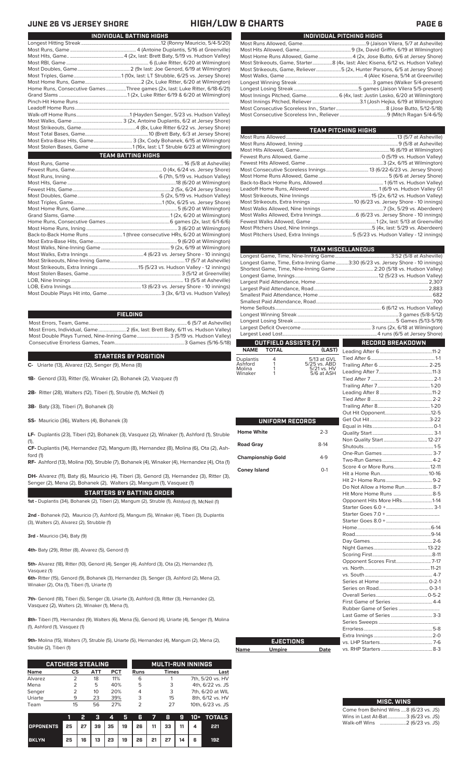| INDIVIDUAL PITCHING HIGHS                                                       |
|---------------------------------------------------------------------------------|
|                                                                                 |
|                                                                                 |
| Most Home Runs Allowed, Game4 (2x, Jose Butto, 6/6 at Jersey Shore)             |
| Most Strikeouts, Game, Starter8 (4x, last: Alec Kisena, 6/12 vs. Hudson Valley) |
| Most Strikeouts, Game, Reliever5 (2x, Hunter Parsons, 6/5 at Jersey Shore)      |
|                                                                                 |
|                                                                                 |
|                                                                                 |
|                                                                                 |
|                                                                                 |
|                                                                                 |
|                                                                                 |

| <b>TEAM PITCHING HIGHS</b>                                               |  |
|--------------------------------------------------------------------------|--|
|                                                                          |  |
|                                                                          |  |
|                                                                          |  |
|                                                                          |  |
|                                                                          |  |
|                                                                          |  |
|                                                                          |  |
|                                                                          |  |
|                                                                          |  |
|                                                                          |  |
|                                                                          |  |
|                                                                          |  |
|                                                                          |  |
|                                                                          |  |
|                                                                          |  |
| Most Pitchers Used, Extra Innings5 (5/23 vs. Hudson Valley - 12 innings) |  |
|                                                                          |  |

|                          |                        |                           | <b>TEAM MISCELLANEOUS</b>                                                      |  |  |  |  |  |
|--------------------------|------------------------|---------------------------|--------------------------------------------------------------------------------|--|--|--|--|--|
|                          |                        |                           | Longest Game, Time, Extra-Inning Game3:30 (6/23 vs. Jersey Shore - 10 innings) |  |  |  |  |  |
|                          |                        |                           | Shortest Game, Time, Nine-Inning Game  2:20 (5/18 vs. Hudson Valley)           |  |  |  |  |  |
|                          |                        |                           |                                                                                |  |  |  |  |  |
|                          |                        |                           |                                                                                |  |  |  |  |  |
|                          |                        |                           |                                                                                |  |  |  |  |  |
|                          |                        |                           |                                                                                |  |  |  |  |  |
|                          |                        |                           |                                                                                |  |  |  |  |  |
|                          |                        |                           |                                                                                |  |  |  |  |  |
|                          |                        |                           |                                                                                |  |  |  |  |  |
|                          |                        |                           |                                                                                |  |  |  |  |  |
|                          |                        |                           |                                                                                |  |  |  |  |  |
|                          |                        |                           |                                                                                |  |  |  |  |  |
|                          | OUTFIELD ASSISTS (7)   |                           | <b>RECORD BREAKDOWN</b>                                                        |  |  |  |  |  |
| <b>NAME</b>              | <b>TOTAL</b>           | (LAST)                    |                                                                                |  |  |  |  |  |
| Duplantis                | 4                      | 5/13 at GVL               |                                                                                |  |  |  |  |  |
| Ashford                  | 1                      | 5/25 vs. ABD              |                                                                                |  |  |  |  |  |
| Molina<br>Winaker        | 1<br>1                 | 5/21 vs. HV<br>5/6 at ASH |                                                                                |  |  |  |  |  |
|                          |                        |                           |                                                                                |  |  |  |  |  |
|                          |                        |                           |                                                                                |  |  |  |  |  |
|                          |                        |                           |                                                                                |  |  |  |  |  |
|                          |                        |                           |                                                                                |  |  |  |  |  |
|                          |                        |                           |                                                                                |  |  |  |  |  |
|                          |                        |                           |                                                                                |  |  |  |  |  |
|                          | <b>UNIFORM RECORDS</b> |                           |                                                                                |  |  |  |  |  |
|                          |                        |                           |                                                                                |  |  |  |  |  |
| <b>Home White</b>        |                        | $2 - 3$                   |                                                                                |  |  |  |  |  |
|                          |                        |                           |                                                                                |  |  |  |  |  |
| <b>Road Gray</b>         |                        | $8-14$                    |                                                                                |  |  |  |  |  |
|                          |                        |                           |                                                                                |  |  |  |  |  |
| <b>Championship Gold</b> |                        | $4-9$                     |                                                                                |  |  |  |  |  |
| <b>Coney Island</b>      |                        | $O-1$                     | Score 4 or More Runs 12-11                                                     |  |  |  |  |  |
|                          |                        |                           |                                                                                |  |  |  |  |  |
|                          |                        |                           |                                                                                |  |  |  |  |  |
|                          |                        |                           | Do Not Allow a Home Run 8-7                                                    |  |  |  |  |  |
|                          |                        |                           |                                                                                |  |  |  |  |  |
|                          |                        |                           | Opponent Hits More HRs1-14                                                     |  |  |  |  |  |
|                          |                        |                           |                                                                                |  |  |  |  |  |
|                          |                        |                           |                                                                                |  |  |  |  |  |
|                          |                        |                           |                                                                                |  |  |  |  |  |
|                          |                        |                           |                                                                                |  |  |  |  |  |
|                          |                        |                           |                                                                                |  |  |  |  |  |
|                          |                        |                           |                                                                                |  |  |  |  |  |
|                          |                        |                           |                                                                                |  |  |  |  |  |
|                          |                        |                           |                                                                                |  |  |  |  |  |
|                          |                        |                           |                                                                                |  |  |  |  |  |
|                          |                        |                           |                                                                                |  |  |  |  |  |
|                          |                        |                           |                                                                                |  |  |  |  |  |
|                          |                        |                           |                                                                                |  |  |  |  |  |
|                          |                        |                           | Series on Road Communication C-3-1                                             |  |  |  |  |  |
|                          |                        |                           |                                                                                |  |  |  |  |  |
|                          |                        |                           |                                                                                |  |  |  |  |  |
|                          |                        |                           |                                                                                |  |  |  |  |  |
|                          |                        |                           |                                                                                |  |  |  |  |  |
|                          |                        |                           |                                                                                |  |  |  |  |  |
|                          |                        |                           |                                                                                |  |  |  |  |  |
|                          |                        |                           |                                                                                |  |  |  |  |  |
|                          | <b>EJECTIONS</b>       |                           |                                                                                |  |  |  |  |  |
| Name                     | <b>Umpire</b>          | Date                      |                                                                                |  |  |  |  |  |

| <b>MISC. WINS</b>                     |  |
|---------------------------------------|--|
| Come from Behind Wins 8 (6/23 vs. JS) |  |
| Wins in Last At-Bat3 (6/23 vs. JS)    |  |
|                                       |  |

### **JUNE 26 VS JERSEY SHORE HIGH/LOW & CHARTS PAGE 6**

| INDIVIDUAL BATTING HIGHS                                                    |
|-----------------------------------------------------------------------------|
|                                                                             |
|                                                                             |
|                                                                             |
|                                                                             |
|                                                                             |
|                                                                             |
|                                                                             |
| Home Runs, Consecutive Games Three games (2x, last: Luke Ritter, 6/18-6/21) |
|                                                                             |
|                                                                             |
|                                                                             |
|                                                                             |
|                                                                             |
|                                                                             |
|                                                                             |
| Most Extra-Base Hits, Game 3 (3x, Cody Bohanek, 6/15 at Wilmington)         |
|                                                                             |
| <b>TEAM BATTING HIGHS</b>                                                   |
|                                                                             |
|                                                                             |
|                                                                             |
|                                                                             |
|                                                                             |
|                                                                             |
|                                                                             |
|                                                                             |
|                                                                             |
|                                                                             |
|                                                                             |
|                                                                             |
| Back-to-Back Home Runs 1 (three consecutive HRs, 6/20 at Wilmington)        |
|                                                                             |
|                                                                             |
|                                                                             |
|                                                                             |
| Most Strikeouts, Extra Innings 15 (5/23 vs. Hudson Valley - 12 innings)     |
|                                                                             |

LOB, Extra Innings........................................................13 (6/23 vs. Jersey Shore - 10 innings) Most Double Plays Hit into, Game...

### **FIELDING**

Most Errors, Team, Game...............................................................................6 (5/7 at Asheville) .<br>2 (6x, last: Brett Baty, 6/11 vs. Hudson Valley)<br>3 (5/19 vs. Hudson Valley) Most Double Plays Turned, Nine-Inning Game.......................... 3 (5/19 vs. Hudson Valley) Consecutive Errorless Games, Team.

**STARTERS BY POSITION**

**C-** Uriarte (13), Alvarez (12), Senger (9), Mena (8)

**1B-** Genord (33), Ritter (5), Winaker (2), Bohanek (2), Vazquez (1)

**2B-** Ritter (28), Walters (12), Tiberi (1), Struble (1), McNeil (1)

**3B-** Baty (33), Tiberi (7), Bohanek (3)

**SS-** Mauricio (36), Walters (4), Bohanek (3)

**LF-** Duplantis (23), Tiberi (12), Bohanek (3), Vasquez (2), Winaker (1), Ashford (1), Struble (1),

**CF-** Duplantis (14), Hernandez (12), Mangum (8), Hernandez (8), Molina (6), Ota (2), Ash-

ford (1) **RF-** Ashford (13), Molina (10), Struble (7), Bohanek (4), Winaker (4), Hernandez (4), Ota (1)

**DH-** Alvarez (11), Baty (6), Mauricio (4), Tiberi (3), Genord (3), Hernandez (3), Ritter (3), Senger (2), Mena (2), Bohanek (2), Walters (2), Mangum (1), Vasquez (1)

**STARTERS BY BATTING ORDER 1st -** Duplantis (34), Bohanek (2), Tiberi (2), Mangum (2), Struble (1), Ashford (1), McNeil (1)

**2nd -** Bohanek (12), Mauricio (7), Ashford (5), Mangum (5), Winaker (4), Tiberi (3), Duplantis

(3), Walters (2), Alvarez (2), Strubble (1)

**3rd -** Mauricio (34), Baty (9)

**4th-** Baty (29), Ritter (8), Alvarez (5), Genord (1)

**5th-** Alvarez (18), Ritter (10), Genord (4), Senger (4), Ashford (3), Ota (2), Hernandez (1), Vasquez (1)

**6th-** Ritter (15), Genord (9), Bohanek (3), Hernandez (3), Senger (3), Ashford (2), Mena (2), Winaker (2), Ota (1), Tiberi (1), Uriarte (1)

**7th-** Genord (18), Tiberi (5), Senger (3), Uriarte (3), Ashford (3), Ritter (3), Hernandez (2), Vasquez (2), Walters (2), Winaker (1), Mena (1),

**8th-** Tiberi (11), Hernandez (9), Walters (6), Mena (5), Genord (4), Uriarte (4), Senger (1), Molina (1), Ashford (1), Vasquez (1)

**9th-** Molina (15), Walters (7), Struble (5), Uriarte (5), Hernandez (4), Mangum (2), Mena (2), Struble (2), Tiberi (1)

**Name** 

|             | <b>CATCHERS STEALING</b> |     |     |      | <b>MULTI-RUN INNINGS</b> |                   |  |  |  |
|-------------|--------------------------|-----|-----|------|--------------------------|-------------------|--|--|--|
| <b>Name</b> | CS                       | АТТ | PCT | Runs | Times                    | Last              |  |  |  |
| Alvarez     |                          | 18  | 11% | 6    |                          | 7th, 5/20 vs. HV  |  |  |  |
| Mena        |                          | 5   | 40% | 5    | 3                        | 4th, 6/22 vs. JS  |  |  |  |
| Senger      |                          | 10  | 20% | 4    | 3                        | 7th, 6/20 at WIL  |  |  |  |
| Uriarte     | q                        | 23  | 39% | 3    | 15                       | 8th, 6/12 vs. HV  |  |  |  |
| Team        | 15                       | 56  | 27% |      | 27                       | 10th, 6/23 vs. JS |  |  |  |

|                                        |    | ,  | - 31 | $\mathbf{A}$ |                                  |  |   | 5 6 7 8 9 10+ TOTALS |
|----------------------------------------|----|----|------|--------------|----------------------------------|--|---|----------------------|
| OPPONENTS 25 27 39 35 19 26 11 33 11 4 |    |    |      |              |                                  |  |   | 221                  |
| <b>BKLYN</b>                           | 25 | 16 |      |              | 13   23   19   26   21   27   14 |  | 6 | 192                  |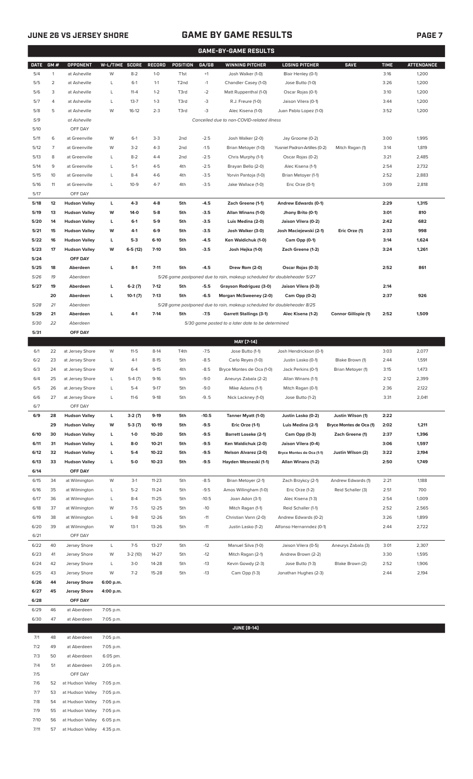### **JUNE 26 VS JERSEY SHORE GAME BY GAME RESULTS PAGE 7**

|           | <b>GAME-BY-GAME RESULTS</b> |                      |                |           |               |                   |             |                                                                         |                               |                      |             |                   |
|-----------|-----------------------------|----------------------|----------------|-----------|---------------|-------------------|-------------|-------------------------------------------------------------------------|-------------------------------|----------------------|-------------|-------------------|
| DATE GM # |                             | <b>OPPONENT</b>      | W-L/TIME SCORE |           | <b>RECORD</b> | <b>POSITION</b>   | GA/GB       | <b>WINNING PITCHER</b>                                                  | <b>LOSING PITCHER</b>         | <b>SAVE</b>          | <b>TIME</b> | <b>ATTENDANCE</b> |
| 5/4       | $\mathbf{1}$                | at Asheville         | W              | $8 - 2$   | $1-0$         | T1st              | $^{\rm +1}$ | Josh Walker (1-0)                                                       | Blair Henley (0-1)            |                      | 3:16        | 1,200             |
| 5/5       | $\overline{2}$              | at Asheville         | L              | $6-1$     | $1 - 1$       | T <sub>2</sub> nd | $-1$        | Chandler Casey (1-0)                                                    | Jose Butto (1-0)              |                      | 3:26        | 1,200             |
| 5/6       | 3                           | at Asheville         | L              | $11 - 4$  | $1 - 2$       | T3rd              | $-2$        | Matt Ruppenthal (1-0)                                                   | Oscar Rojas (0-1)             |                      | 3:10        | 1,200             |
| 5/7       | 4                           | at Asheville         | L              | $13 - 7$  | $1 - 3$       | T3rd              | $-3$        | R.J. Freure (1-0)                                                       | Jaison Vilera (0-1)           |                      | 3:44        | 1,200             |
| 5/8       | 5                           | at Asheville         | W              | $16-12$   | $2 - 3$       | T3rd              | $-3$        | Alec Kisena (1-0)                                                       | Juan Pablo Lopez (1-0)        |                      | 3:52        | 1,200             |
| 5/9       |                             | at Asheville         |                |           |               |                   |             | Cancelled due to non-COVID-related illness                              |                               |                      |             |                   |
| 5/10      |                             | OFF DAY              |                |           |               |                   |             |                                                                         |                               |                      |             |                   |
| 5/11      | 6                           | at Greenville        | W              | $6-1$     | $3-3$         | 2nd               | $-2.5$      | Josh Walker (2-0)                                                       | Jay Groome (0-2)              |                      | 3:00        | 1,995             |
| 5/12      | $\overline{7}$              | at Greenville        | W              | $3-2$     | $4 - 3$       | 2 <sub>nd</sub>   | $-1.5$      | Brian Metoyer (1-0)                                                     | Yusniel Padron-Artilles (0-2) | Mitch Ragan (1)      | 3:14        | 1,819             |
| 5/13      | 8                           | at Greenville        | L              | $8-2$     | $4 - 4$       | 2nd               | $-2.5$      | Chris Murphy (1-1)                                                      | Oscar Rojas (0-2)             |                      | 3:21        | 2,485             |
| 5/14      | 9                           | at Greenville        | L              | $5-1$     | $4 - 5$       | 4th               | $-2.5$      | Brayan Bello (2-0)                                                      | Alec Kisena (1-1)             |                      | 2:54        | 2,732             |
| 5/15      | 10                          | at Greenville        | $\mathsf{L}$   | $8 - 4$   | $4-6$         | 4th               | $-3.5$      | Yorvin Pantoja (1-0)                                                    | Brian Metoyer (1-1)           |                      | 2:52        | 2,883             |
| 5/16      | 11                          | at Greenville        | $\mathsf{L}$   | $10-9$    | $4 - 7$       | 4th               | $-3.5$      | Jake Wallace (1-0)                                                      | Eric Orze (0-1)               |                      | 3:09        | 2,818             |
| 5/17      |                             | OFF DAY              |                |           |               |                   |             |                                                                         |                               |                      |             |                   |
| 5/18      | 12                          | <b>Hudson Valley</b> | L              | $4 - 3$   | $4-8$         | 5th               | $-4.5$      | Zach Greene (1-1)                                                       | Andrew Edwards (0-1)          |                      | 2:29        | 1,315             |
| 5/19      | 13                          | <b>Hudson Valley</b> | W              | $14-0$    | 5-8           | 5th               | $-3.5$      | Allan Winans (1-0)                                                      | Jhony Brito (0-1)             |                      | 3:01        | 810               |
| 5/20      | 14                          | <b>Hudson Valley</b> | L              | $6-1$     | 5-9           | 5th               | $-3.5$      | Luis Medina (2-0)                                                       | Jaison Vilera (0-2)           |                      | 2:42        | 682               |
| 5/21      | 15                          | <b>Hudson Valley</b> | W              | 4-1       | $6-9$         | 5th               | $-3.5$      | Josh Walker (3-0)                                                       | Josh Maciejewski (2-1)        | Eric Orze (1)        | 2:33        | 998               |
| 5/22      | 16                          | <b>Hudson Valley</b> | L              | $5-3$     | $6-10$        | 5th               | $-4.5$      | Ken Waldichuk (1-0)                                                     | Cam Opp (0-1)                 |                      | 3:14        | 1,624             |
| 5/23      | 17                          | <b>Hudson Valley</b> | W              | $6-5(12)$ | $7 - 10$      | 5th               | $-3.5$      | Josh Hejka (1-0)                                                        | Zach Greene (1-2)             |                      | 3:24        | 1,261             |
| 5/24      |                             | OFF DAY              |                |           |               |                   |             |                                                                         |                               |                      |             |                   |
| 5/25      | 18                          | Aberdeen             | L              | $8-1$     | $7 - 11$      | 5th               | -4.5        | Drew Rom (2-0)                                                          | Oscar Rojas (0-3)             |                      | 2:52        | 861               |
| 5/26      | 19                          | Aberdeen             |                |           |               |                   |             | 5/26 game postponed due to rain, makeup scheduled for doubleheader 5/27 |                               |                      |             |                   |
| 5/27      | 19                          | Aberdeen             | L              | $6-2(7)$  | $7-12$        | 5th               | $-5.5$      | Grayson Rodriguez (3-0)                                                 | Jaison Vilera (0-3)           |                      | 2:14        |                   |
|           | 20                          | Aberdeen             | L              | $10-1(7)$ | $7-13$        | 5th               | $-6.5$      | Morgan McSweeney (2-0)                                                  | Cam Opp (0-2)                 |                      | 2:37        | 926               |
| 5/28      | 21                          | Aberdeen             |                |           |               |                   |             | 5/28 game postponed due to rain, makeup scheduled for doubleheader 8/25 |                               |                      |             |                   |
| 5/29      | 21                          | Aberdeen             | L              | $4-1$     | $7-14$        | 5th               | $-7.5$      | <b>Garrett Stallings (3-1)</b>                                          | Alec Kisena (1-2)             | Connor Gillispie (1) | 2:52        | 1,509             |
| 5/30      | 22                          | Aberdeen             |                |           |               |                   |             | 5/30 game posted to a later date to be determined                       |                               |                      |             |                   |
| 5/31      |                             | OFF DAY              |                |           |               |                   |             |                                                                         |                               |                      |             |                   |
|           |                             |                      |                |           |               |                   |             | MAY [7-14]                                                              |                               |                      |             |                   |
|           |                             |                      |                |           |               |                   |             |                                                                         |                               |                      |             |                   |

| 6/1  | 22 | at Jersey Shore      | W         | $11-5$    | $8-14$    | T4th | $-7.5$  | Jose Butto (1-1)            | Josh Hendrickson (0-1)    |                         | 3:03 | 2,077 |
|------|----|----------------------|-----------|-----------|-----------|------|---------|-----------------------------|---------------------------|-------------------------|------|-------|
| 6/2  | 23 | at Jersey Shore      | Г         | $4-1$     | $8 - 15$  | 5th  | $-8.5$  | Carlo Reyes (1-0)           | Justin Lasko (0-1)        | Blake Brown (1)         | 2:44 | 1,591 |
| 6/3  | 24 | at Jersey Shore      | W         | $6 - 4$   | $9 - 15$  | 4th  | $-8.5$  | Bryce Montes de Oca (1-0)   | Jack Perkins (0-1)        | Brian Metoyer (1)       | 3:15 | 1,473 |
| 6/4  | 25 | at Jersey Shore      | L         | $5-4(7)$  | $9-16$    | 5th  | $-9.0$  | Aneurys Zabala (2-2)        | Allan Winans (1-1)        |                         | 2:12 | 2,399 |
| 6/5  | 26 | at Jersey Shore      | Г         | $5 - 4$   | $9 - 17$  | 5th  | $-9.0$  | Mike Adams (1-1)            | Mitch Ragan (0-1)         |                         | 2:36 | 2,122 |
| 6/6  | 27 | at Jersey Shore      | Г         | $11-6$    | $9-18$    | 5th  | $-9.5$  | Nick Lackney (1-0)          | Jose Butto (1-2)          |                         | 3:31 | 2,041 |
| 6/7  |    | OFF DAY              |           |           |           |      |         |                             |                           |                         |      |       |
| 6/9  | 28 | <b>Hudson Vallev</b> | Ц         | $3-2(7)$  | $9-19$    | 5th  | $-10.5$ | Tanner Myatt (1-0)          | Justin Lasko (0-2)        | Justin Wilson (1)       | 2:22 |       |
|      | 29 | <b>Hudson Valley</b> | w         | $5-3(7)$  | $10-19$   | 5th  | $-9.5$  | Eric Orze (1-1)             | Luis Medina (2-1)         | Bryce Montes de Oca (1) | 2:02 | 1,211 |
| 6/10 | 30 | <b>Hudson Vallev</b> | г         | $1 - 0$   | 10-20     | 5th  | $-9.5$  | <b>Barrett Loseke (2-1)</b> | Cam Opp (0-3)             | Zach Greene (1)         | 2:37 | 1,396 |
| 6/11 | 31 | <b>Hudson Valley</b> | г         | $8-0$     | $10 - 21$ | 5th  | $-9.5$  | Ken Waldichuk (2-0)         | Jaison Vilera (0-4)       |                         | 3:06 | 1,597 |
| 6/12 | 32 | <b>Hudson Valley</b> | г         | $5-4$     | $10 - 22$ | 5th  | $-9.5$  | Nelson Alvarez (2-0)        | Bryce Montes de Oca (1-1) | Justin Wilson (2)       | 3:22 | 2,194 |
| 6/13 | 33 | <b>Hudson Valley</b> | г         | $5-0$     | $10 - 23$ | 5th  | $-9.5$  | Hayden Wesneski (1-1)       | Allan Winans (1-2)        |                         | 2:50 | 1,749 |
| 6/14 |    | OFF DAY              |           |           |           |      |         |                             |                           |                         |      |       |
| 6/15 | 34 | at Wilmington        | W         | $3-1$     | $11 - 23$ | 5th  | $-8.5$  | Brian Metoyer (2-1)         | Zach Brzykcy (2-1)        | Andrew Edwards (1)      | 2:21 | 1,188 |
| 6/16 | 35 | at Wilmington        | L         | $5 - 2$   | $11 - 24$ | 5th  | $-9.5$  | Amos Willingham (1-0)       | Eric Orze (1-2)           | Reid Schaller (3)       | 2:51 | 700   |
| 6/17 | 36 | at Wilmington        | L         | $8 - 4$   | $11 - 25$ | 5th  | $-10.5$ | Joan Adon (3-1)             | Alec Kisena (1-3)         |                         | 2:54 | 1,009 |
| 6/18 | 37 | at Wilmington        | W         | $7-5$     | $12 - 25$ | 5th  | $-10$   | Mitch Ragan (1-1)           | Reid Schaller (1-1)       |                         | 2:52 | 2,565 |
| 6/19 | 38 | at Wilmington        | L         | $9 - 8$   | $12 - 26$ | 5th  | $-11$   | Christian Vann (2-0)        | Andrew Edwards (0-2)      |                         | 3:26 | 1,899 |
| 6/20 | 39 | at Wilmington        | W         | $13-1$    | $13 - 26$ | 5th  | $-11$   | Justin Lasko (1-2)          | Alfonso Hernanndez (0-1)  |                         | 2:44 | 2,722 |
| 6/21 |    | OFF DAY              |           |           |           |      |         |                             |                           |                         |      |       |
| 6/22 | 40 | Jersey Shore         | L         | $7-5$     | $13 - 27$ | 5th  | $-12$   | Manuel Silva (1-0)          | Jaison Vilera (0-5)       | Aneurys Zabala (3)      | 3:01 | 2,307 |
| 6/23 | 41 | Jersey Shore         | W         | $3-2(10)$ | $14 - 27$ | 5th  | $-12$   | Mitch Ragan (2-1)           | Andrew Brown (2-2)        |                         | 3:30 | 1,595 |
| 6/24 | 42 | Jersey Shore         | Г         | $3-0$     | 14-28     | 5th  | $-13$   | Kevin Gowdy (2-3)           | Jose Butto (1-3)          | Blake Brown (2)         | 2:52 | 1,906 |
| 6/25 | 43 | Jersey Shore         | W         | $7 - 2$   | $15 - 28$ | 5th  | $-13$   | Cam Opp (1-3)               | Jonathan Hughes (2-3)     |                         | 2:44 | 2,194 |
| 6/26 | 44 | <b>Jersey Shore</b>  | 6:00 p.m. |           |           |      |         |                             |                           |                         |      |       |
| 6/27 | 45 | <b>Jersey Shore</b>  | 4:00 p.m. |           |           |      |         |                             |                           |                         |      |       |
| 6/28 |    | OFF DAY              |           |           |           |      |         |                             |                           |                         |      |       |

6/29 46 at Aberdeen 7:05 p.m.

| 6/30<br>47 |    | at Aberdeen      | 7:05 p.m. |  |  |
|------------|----|------------------|-----------|--|--|
|            |    |                  |           |  |  |
| 7/1        | 48 | at Aberdeen      | 7:05 p.m. |  |  |
| 7/2        | 49 | at Aberdeen      | 7:05 p.m. |  |  |
| 7/3        | 50 | at Aberdeen      | 6:05 pm.  |  |  |
| 7/4        | 51 | at Aberdeen      | 2:05 p.m. |  |  |
| 7/5        |    | OFF DAY          |           |  |  |
| 7/6        | 52 | at Hudson Valley | 7:05 p.m. |  |  |
| 7/7        | 53 | at Hudson Valley | 7:05 p.m. |  |  |
| 7/8        | 54 | at Hudson Valley | 7:05 p.m. |  |  |
| 7/9        | 55 | at Hudson Valley | 7:05 p.m. |  |  |
| 7/10       | 56 | at Hudson Valley | 6:05 p.m. |  |  |
| 7/11       | 57 | at Hudson Valley | 4:35 p.m. |  |  |

**JUNE (8-14)**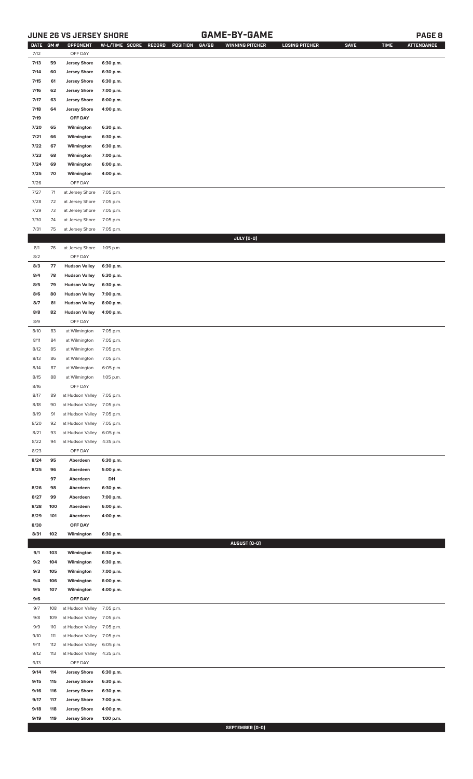### **JUNE 26 VS JERSEY SHORE GAME-BY-GAME PAGE 8**

| 59<br>7/13<br><b>Jersey Shore</b><br>6:30 p.m.<br><b>Jersey Shore</b><br>7/14<br>60<br>6:30 p.m.<br><b>Jersey Shore</b><br>7/15<br>61<br>6:30 p.m.<br>7/16<br>62<br><b>Jersey Shore</b><br>7:00 p.m.<br>7/17<br><b>Jersey Shore</b><br>63<br>6:00 p.m.<br>7/18<br>64<br><b>Jersey Shore</b><br>4:00 p.m.<br>7/19<br>OFF DAY<br>7/20<br>65<br>Wilmington<br>6:30 p.m.<br>66<br>Wilmington<br>7/21<br>6:30 p.m.<br>7/22<br>67<br>Wilmington<br>6:30 p.m.<br>68<br>7/23<br>Wilmington<br>7:00 p.m.<br>69<br>Wilmington<br>6:00 p.m.<br>7/24<br>7/25<br>70<br>Wilmington<br>4:00 p.m.<br>7/26<br>OFF DAY<br>7/27<br>71<br>at Jersey Shore<br>7:05 p.m.<br>7/28<br>72<br>at Jersey Shore<br>7:05 p.m.<br>7/29<br>73<br>at Jersey Shore<br>7:05 p.m.<br>7/30<br>74<br>at Jersey Shore<br>7:05 p.m.<br>7/31<br>75<br>at Jersey Shore<br>7:05 p.m.<br>JULY (0-0)<br>8/1<br>76<br>at Jersey Shore<br>1:05 p.m.<br>8/2<br>OFF DAY<br>8/3<br>77<br><b>Hudson Valley</b><br>6:30 p.m.<br>8/4<br>78<br><b>Hudson Valley</b><br>6:30 p.m.<br>8/5<br>79<br><b>Hudson Valley</b><br>6:30 p.m.<br>8/6<br>80<br><b>Hudson Valley</b><br>7:00 p.m.<br>8/7<br>81<br><b>Hudson Valley</b><br>6:00 p.m.<br>8/8<br>82<br><b>Hudson Valley</b><br>4:00 p.m.<br>8/9<br>OFF DAY<br>83<br>8/10<br>at Wilmington<br>7:05 p.m.<br>84<br>at Wilmington<br>7:05 p.m.<br>8/11<br>8/12<br>85<br>at Wilmington<br>7:05 p.m.<br>8/13<br>86<br>at Wilmington<br>7:05 p.m.<br>87<br>at Wilmington<br>6:05 p.m.<br>8/14<br>8/15<br>88<br>at Wilmington<br>1:05 p.m.<br>8/16<br>OFF DAY<br>8/17<br>89<br>at Hudson Valley<br>7:05 p.m.<br>8/18<br>90<br>at Hudson Valley<br>7:05 p.m.<br>8/19<br>91<br>at Hudson Valley<br>7:05 p.m.<br>8/20<br>92<br>at Hudson Valley<br>7:05 p.m.<br>8/21<br>93<br>at Hudson Valley<br>6:05 p.m.<br>8/22<br>94<br>at Hudson Valley<br>4:35 p.m.<br>8/23<br>OFF DAY<br>8/24<br>95<br>Aberdeen<br>6:30 p.m.<br>8/25<br>96<br>Aberdeen<br>5:00 p.m.<br>97<br>Aberdeen<br>DH<br>8/26<br>98<br>Aberdeen<br>6:30 p.m.<br>99<br>Aberdeen<br>8/27<br>7:00 p.m.<br>8/28<br>100<br>Aberdeen<br>6:00 p.m.<br>8/29<br>101<br>Aberdeen<br>4:00 p.m.<br>8/30<br>OFF DAY<br>8/31<br>102<br>Wilmington<br>6:30 p.m.<br>AUGUST (0-0)<br>103<br>9/1<br>Wilmington<br>6:30 p.m.<br>104<br>9/2<br>Wilmington<br>6:30 p.m.<br>105<br>7:00 p.m.<br>9/3<br>Wilmington<br>106<br>6:00 p.m.<br>9/4<br>Wilmington<br>107<br>9/5<br>Wilmington<br>4:00 p.m.<br>OFF DAY<br>9/6<br>108<br>7:05 p.m.<br>9/7<br>at Hudson Valley<br>9/8<br>109<br>at Hudson Valley<br>7:05 p.m.<br>9/9<br>110<br>at Hudson Valley<br>7:05 p.m.<br>9/10<br>111<br>at Hudson Valley<br>7:05 p.m.<br>9/11<br>112<br>at Hudson Valley<br>6:05 p.m.<br>9/12<br>113<br>at Hudson Valley<br>4:35 p.m.<br>9/13<br>OFF DAY<br>9/14<br>114<br><b>Jersey Shore</b><br>6:30 p.m.<br>9/15<br>115<br><b>Jersey Shore</b><br>6:30 p.m.<br>9/16<br>116<br><b>Jersey Shore</b><br>6:30 p.m.<br><b>Jersey Shore</b><br>9/17<br>117<br>7:00 p.m.<br>9/18<br>118<br><b>Jersey Shore</b><br>4:00 p.m.<br>9/19<br>119<br><b>Jersey Shore</b><br>1:00 p.m.<br>SEPTEMBER [0-0] | DATE GM # | OPPONENT | W-L/TIME SCORE | GA/GB<br>RECORD<br>POSITION | <b>WINNING PITCHER</b> | <b>LOSING PITCHER</b> | <b>SAVE</b> | <b>TIME</b> | <b>ATTENDANCE</b> |
|----------------------------------------------------------------------------------------------------------------------------------------------------------------------------------------------------------------------------------------------------------------------------------------------------------------------------------------------------------------------------------------------------------------------------------------------------------------------------------------------------------------------------------------------------------------------------------------------------------------------------------------------------------------------------------------------------------------------------------------------------------------------------------------------------------------------------------------------------------------------------------------------------------------------------------------------------------------------------------------------------------------------------------------------------------------------------------------------------------------------------------------------------------------------------------------------------------------------------------------------------------------------------------------------------------------------------------------------------------------------------------------------------------------------------------------------------------------------------------------------------------------------------------------------------------------------------------------------------------------------------------------------------------------------------------------------------------------------------------------------------------------------------------------------------------------------------------------------------------------------------------------------------------------------------------------------------------------------------------------------------------------------------------------------------------------------------------------------------------------------------------------------------------------------------------------------------------------------------------------------------------------------------------------------------------------------------------------------------------------------------------------------------------------------------------------------------------------------------------------------------------------------------------------------------------------------------------------------------------------------------------------------------------------------------------------------------------------------------------------------------------------------------------------------------------------------------------------------------------------------------------------------------------------------------------------------------------------------------------------------------------------------------------------------------------------------------------------------------|-----------|----------|----------------|-----------------------------|------------------------|-----------------------|-------------|-------------|-------------------|
|                                                                                                                                                                                                                                                                                                                                                                                                                                                                                                                                                                                                                                                                                                                                                                                                                                                                                                                                                                                                                                                                                                                                                                                                                                                                                                                                                                                                                                                                                                                                                                                                                                                                                                                                                                                                                                                                                                                                                                                                                                                                                                                                                                                                                                                                                                                                                                                                                                                                                                                                                                                                                                                                                                                                                                                                                                                                                                                                                                                                                                                                                                    | 7/12      | OFF DAY  |                |                             |                        |                       |             |             |                   |
|                                                                                                                                                                                                                                                                                                                                                                                                                                                                                                                                                                                                                                                                                                                                                                                                                                                                                                                                                                                                                                                                                                                                                                                                                                                                                                                                                                                                                                                                                                                                                                                                                                                                                                                                                                                                                                                                                                                                                                                                                                                                                                                                                                                                                                                                                                                                                                                                                                                                                                                                                                                                                                                                                                                                                                                                                                                                                                                                                                                                                                                                                                    |           |          |                |                             |                        |                       |             |             |                   |
|                                                                                                                                                                                                                                                                                                                                                                                                                                                                                                                                                                                                                                                                                                                                                                                                                                                                                                                                                                                                                                                                                                                                                                                                                                                                                                                                                                                                                                                                                                                                                                                                                                                                                                                                                                                                                                                                                                                                                                                                                                                                                                                                                                                                                                                                                                                                                                                                                                                                                                                                                                                                                                                                                                                                                                                                                                                                                                                                                                                                                                                                                                    |           |          |                |                             |                        |                       |             |             |                   |
|                                                                                                                                                                                                                                                                                                                                                                                                                                                                                                                                                                                                                                                                                                                                                                                                                                                                                                                                                                                                                                                                                                                                                                                                                                                                                                                                                                                                                                                                                                                                                                                                                                                                                                                                                                                                                                                                                                                                                                                                                                                                                                                                                                                                                                                                                                                                                                                                                                                                                                                                                                                                                                                                                                                                                                                                                                                                                                                                                                                                                                                                                                    |           |          |                |                             |                        |                       |             |             |                   |
|                                                                                                                                                                                                                                                                                                                                                                                                                                                                                                                                                                                                                                                                                                                                                                                                                                                                                                                                                                                                                                                                                                                                                                                                                                                                                                                                                                                                                                                                                                                                                                                                                                                                                                                                                                                                                                                                                                                                                                                                                                                                                                                                                                                                                                                                                                                                                                                                                                                                                                                                                                                                                                                                                                                                                                                                                                                                                                                                                                                                                                                                                                    |           |          |                |                             |                        |                       |             |             |                   |
|                                                                                                                                                                                                                                                                                                                                                                                                                                                                                                                                                                                                                                                                                                                                                                                                                                                                                                                                                                                                                                                                                                                                                                                                                                                                                                                                                                                                                                                                                                                                                                                                                                                                                                                                                                                                                                                                                                                                                                                                                                                                                                                                                                                                                                                                                                                                                                                                                                                                                                                                                                                                                                                                                                                                                                                                                                                                                                                                                                                                                                                                                                    |           |          |                |                             |                        |                       |             |             |                   |
|                                                                                                                                                                                                                                                                                                                                                                                                                                                                                                                                                                                                                                                                                                                                                                                                                                                                                                                                                                                                                                                                                                                                                                                                                                                                                                                                                                                                                                                                                                                                                                                                                                                                                                                                                                                                                                                                                                                                                                                                                                                                                                                                                                                                                                                                                                                                                                                                                                                                                                                                                                                                                                                                                                                                                                                                                                                                                                                                                                                                                                                                                                    |           |          |                |                             |                        |                       |             |             |                   |
|                                                                                                                                                                                                                                                                                                                                                                                                                                                                                                                                                                                                                                                                                                                                                                                                                                                                                                                                                                                                                                                                                                                                                                                                                                                                                                                                                                                                                                                                                                                                                                                                                                                                                                                                                                                                                                                                                                                                                                                                                                                                                                                                                                                                                                                                                                                                                                                                                                                                                                                                                                                                                                                                                                                                                                                                                                                                                                                                                                                                                                                                                                    |           |          |                |                             |                        |                       |             |             |                   |
|                                                                                                                                                                                                                                                                                                                                                                                                                                                                                                                                                                                                                                                                                                                                                                                                                                                                                                                                                                                                                                                                                                                                                                                                                                                                                                                                                                                                                                                                                                                                                                                                                                                                                                                                                                                                                                                                                                                                                                                                                                                                                                                                                                                                                                                                                                                                                                                                                                                                                                                                                                                                                                                                                                                                                                                                                                                                                                                                                                                                                                                                                                    |           |          |                |                             |                        |                       |             |             |                   |
|                                                                                                                                                                                                                                                                                                                                                                                                                                                                                                                                                                                                                                                                                                                                                                                                                                                                                                                                                                                                                                                                                                                                                                                                                                                                                                                                                                                                                                                                                                                                                                                                                                                                                                                                                                                                                                                                                                                                                                                                                                                                                                                                                                                                                                                                                                                                                                                                                                                                                                                                                                                                                                                                                                                                                                                                                                                                                                                                                                                                                                                                                                    |           |          |                |                             |                        |                       |             |             |                   |
|                                                                                                                                                                                                                                                                                                                                                                                                                                                                                                                                                                                                                                                                                                                                                                                                                                                                                                                                                                                                                                                                                                                                                                                                                                                                                                                                                                                                                                                                                                                                                                                                                                                                                                                                                                                                                                                                                                                                                                                                                                                                                                                                                                                                                                                                                                                                                                                                                                                                                                                                                                                                                                                                                                                                                                                                                                                                                                                                                                                                                                                                                                    |           |          |                |                             |                        |                       |             |             |                   |
|                                                                                                                                                                                                                                                                                                                                                                                                                                                                                                                                                                                                                                                                                                                                                                                                                                                                                                                                                                                                                                                                                                                                                                                                                                                                                                                                                                                                                                                                                                                                                                                                                                                                                                                                                                                                                                                                                                                                                                                                                                                                                                                                                                                                                                                                                                                                                                                                                                                                                                                                                                                                                                                                                                                                                                                                                                                                                                                                                                                                                                                                                                    |           |          |                |                             |                        |                       |             |             |                   |
|                                                                                                                                                                                                                                                                                                                                                                                                                                                                                                                                                                                                                                                                                                                                                                                                                                                                                                                                                                                                                                                                                                                                                                                                                                                                                                                                                                                                                                                                                                                                                                                                                                                                                                                                                                                                                                                                                                                                                                                                                                                                                                                                                                                                                                                                                                                                                                                                                                                                                                                                                                                                                                                                                                                                                                                                                                                                                                                                                                                                                                                                                                    |           |          |                |                             |                        |                       |             |             |                   |
|                                                                                                                                                                                                                                                                                                                                                                                                                                                                                                                                                                                                                                                                                                                                                                                                                                                                                                                                                                                                                                                                                                                                                                                                                                                                                                                                                                                                                                                                                                                                                                                                                                                                                                                                                                                                                                                                                                                                                                                                                                                                                                                                                                                                                                                                                                                                                                                                                                                                                                                                                                                                                                                                                                                                                                                                                                                                                                                                                                                                                                                                                                    |           |          |                |                             |                        |                       |             |             |                   |
|                                                                                                                                                                                                                                                                                                                                                                                                                                                                                                                                                                                                                                                                                                                                                                                                                                                                                                                                                                                                                                                                                                                                                                                                                                                                                                                                                                                                                                                                                                                                                                                                                                                                                                                                                                                                                                                                                                                                                                                                                                                                                                                                                                                                                                                                                                                                                                                                                                                                                                                                                                                                                                                                                                                                                                                                                                                                                                                                                                                                                                                                                                    |           |          |                |                             |                        |                       |             |             |                   |
|                                                                                                                                                                                                                                                                                                                                                                                                                                                                                                                                                                                                                                                                                                                                                                                                                                                                                                                                                                                                                                                                                                                                                                                                                                                                                                                                                                                                                                                                                                                                                                                                                                                                                                                                                                                                                                                                                                                                                                                                                                                                                                                                                                                                                                                                                                                                                                                                                                                                                                                                                                                                                                                                                                                                                                                                                                                                                                                                                                                                                                                                                                    |           |          |                |                             |                        |                       |             |             |                   |
|                                                                                                                                                                                                                                                                                                                                                                                                                                                                                                                                                                                                                                                                                                                                                                                                                                                                                                                                                                                                                                                                                                                                                                                                                                                                                                                                                                                                                                                                                                                                                                                                                                                                                                                                                                                                                                                                                                                                                                                                                                                                                                                                                                                                                                                                                                                                                                                                                                                                                                                                                                                                                                                                                                                                                                                                                                                                                                                                                                                                                                                                                                    |           |          |                |                             |                        |                       |             |             |                   |
|                                                                                                                                                                                                                                                                                                                                                                                                                                                                                                                                                                                                                                                                                                                                                                                                                                                                                                                                                                                                                                                                                                                                                                                                                                                                                                                                                                                                                                                                                                                                                                                                                                                                                                                                                                                                                                                                                                                                                                                                                                                                                                                                                                                                                                                                                                                                                                                                                                                                                                                                                                                                                                                                                                                                                                                                                                                                                                                                                                                                                                                                                                    |           |          |                |                             |                        |                       |             |             |                   |
|                                                                                                                                                                                                                                                                                                                                                                                                                                                                                                                                                                                                                                                                                                                                                                                                                                                                                                                                                                                                                                                                                                                                                                                                                                                                                                                                                                                                                                                                                                                                                                                                                                                                                                                                                                                                                                                                                                                                                                                                                                                                                                                                                                                                                                                                                                                                                                                                                                                                                                                                                                                                                                                                                                                                                                                                                                                                                                                                                                                                                                                                                                    |           |          |                |                             |                        |                       |             |             |                   |
|                                                                                                                                                                                                                                                                                                                                                                                                                                                                                                                                                                                                                                                                                                                                                                                                                                                                                                                                                                                                                                                                                                                                                                                                                                                                                                                                                                                                                                                                                                                                                                                                                                                                                                                                                                                                                                                                                                                                                                                                                                                                                                                                                                                                                                                                                                                                                                                                                                                                                                                                                                                                                                                                                                                                                                                                                                                                                                                                                                                                                                                                                                    |           |          |                |                             |                        |                       |             |             |                   |
|                                                                                                                                                                                                                                                                                                                                                                                                                                                                                                                                                                                                                                                                                                                                                                                                                                                                                                                                                                                                                                                                                                                                                                                                                                                                                                                                                                                                                                                                                                                                                                                                                                                                                                                                                                                                                                                                                                                                                                                                                                                                                                                                                                                                                                                                                                                                                                                                                                                                                                                                                                                                                                                                                                                                                                                                                                                                                                                                                                                                                                                                                                    |           |          |                |                             |                        |                       |             |             |                   |
|                                                                                                                                                                                                                                                                                                                                                                                                                                                                                                                                                                                                                                                                                                                                                                                                                                                                                                                                                                                                                                                                                                                                                                                                                                                                                                                                                                                                                                                                                                                                                                                                                                                                                                                                                                                                                                                                                                                                                                                                                                                                                                                                                                                                                                                                                                                                                                                                                                                                                                                                                                                                                                                                                                                                                                                                                                                                                                                                                                                                                                                                                                    |           |          |                |                             |                        |                       |             |             |                   |
|                                                                                                                                                                                                                                                                                                                                                                                                                                                                                                                                                                                                                                                                                                                                                                                                                                                                                                                                                                                                                                                                                                                                                                                                                                                                                                                                                                                                                                                                                                                                                                                                                                                                                                                                                                                                                                                                                                                                                                                                                                                                                                                                                                                                                                                                                                                                                                                                                                                                                                                                                                                                                                                                                                                                                                                                                                                                                                                                                                                                                                                                                                    |           |          |                |                             |                        |                       |             |             |                   |
|                                                                                                                                                                                                                                                                                                                                                                                                                                                                                                                                                                                                                                                                                                                                                                                                                                                                                                                                                                                                                                                                                                                                                                                                                                                                                                                                                                                                                                                                                                                                                                                                                                                                                                                                                                                                                                                                                                                                                                                                                                                                                                                                                                                                                                                                                                                                                                                                                                                                                                                                                                                                                                                                                                                                                                                                                                                                                                                                                                                                                                                                                                    |           |          |                |                             |                        |                       |             |             |                   |
|                                                                                                                                                                                                                                                                                                                                                                                                                                                                                                                                                                                                                                                                                                                                                                                                                                                                                                                                                                                                                                                                                                                                                                                                                                                                                                                                                                                                                                                                                                                                                                                                                                                                                                                                                                                                                                                                                                                                                                                                                                                                                                                                                                                                                                                                                                                                                                                                                                                                                                                                                                                                                                                                                                                                                                                                                                                                                                                                                                                                                                                                                                    |           |          |                |                             |                        |                       |             |             |                   |
|                                                                                                                                                                                                                                                                                                                                                                                                                                                                                                                                                                                                                                                                                                                                                                                                                                                                                                                                                                                                                                                                                                                                                                                                                                                                                                                                                                                                                                                                                                                                                                                                                                                                                                                                                                                                                                                                                                                                                                                                                                                                                                                                                                                                                                                                                                                                                                                                                                                                                                                                                                                                                                                                                                                                                                                                                                                                                                                                                                                                                                                                                                    |           |          |                |                             |                        |                       |             |             |                   |
|                                                                                                                                                                                                                                                                                                                                                                                                                                                                                                                                                                                                                                                                                                                                                                                                                                                                                                                                                                                                                                                                                                                                                                                                                                                                                                                                                                                                                                                                                                                                                                                                                                                                                                                                                                                                                                                                                                                                                                                                                                                                                                                                                                                                                                                                                                                                                                                                                                                                                                                                                                                                                                                                                                                                                                                                                                                                                                                                                                                                                                                                                                    |           |          |                |                             |                        |                       |             |             |                   |
|                                                                                                                                                                                                                                                                                                                                                                                                                                                                                                                                                                                                                                                                                                                                                                                                                                                                                                                                                                                                                                                                                                                                                                                                                                                                                                                                                                                                                                                                                                                                                                                                                                                                                                                                                                                                                                                                                                                                                                                                                                                                                                                                                                                                                                                                                                                                                                                                                                                                                                                                                                                                                                                                                                                                                                                                                                                                                                                                                                                                                                                                                                    |           |          |                |                             |                        |                       |             |             |                   |
|                                                                                                                                                                                                                                                                                                                                                                                                                                                                                                                                                                                                                                                                                                                                                                                                                                                                                                                                                                                                                                                                                                                                                                                                                                                                                                                                                                                                                                                                                                                                                                                                                                                                                                                                                                                                                                                                                                                                                                                                                                                                                                                                                                                                                                                                                                                                                                                                                                                                                                                                                                                                                                                                                                                                                                                                                                                                                                                                                                                                                                                                                                    |           |          |                |                             |                        |                       |             |             |                   |
|                                                                                                                                                                                                                                                                                                                                                                                                                                                                                                                                                                                                                                                                                                                                                                                                                                                                                                                                                                                                                                                                                                                                                                                                                                                                                                                                                                                                                                                                                                                                                                                                                                                                                                                                                                                                                                                                                                                                                                                                                                                                                                                                                                                                                                                                                                                                                                                                                                                                                                                                                                                                                                                                                                                                                                                                                                                                                                                                                                                                                                                                                                    |           |          |                |                             |                        |                       |             |             |                   |
|                                                                                                                                                                                                                                                                                                                                                                                                                                                                                                                                                                                                                                                                                                                                                                                                                                                                                                                                                                                                                                                                                                                                                                                                                                                                                                                                                                                                                                                                                                                                                                                                                                                                                                                                                                                                                                                                                                                                                                                                                                                                                                                                                                                                                                                                                                                                                                                                                                                                                                                                                                                                                                                                                                                                                                                                                                                                                                                                                                                                                                                                                                    |           |          |                |                             |                        |                       |             |             |                   |
|                                                                                                                                                                                                                                                                                                                                                                                                                                                                                                                                                                                                                                                                                                                                                                                                                                                                                                                                                                                                                                                                                                                                                                                                                                                                                                                                                                                                                                                                                                                                                                                                                                                                                                                                                                                                                                                                                                                                                                                                                                                                                                                                                                                                                                                                                                                                                                                                                                                                                                                                                                                                                                                                                                                                                                                                                                                                                                                                                                                                                                                                                                    |           |          |                |                             |                        |                       |             |             |                   |
|                                                                                                                                                                                                                                                                                                                                                                                                                                                                                                                                                                                                                                                                                                                                                                                                                                                                                                                                                                                                                                                                                                                                                                                                                                                                                                                                                                                                                                                                                                                                                                                                                                                                                                                                                                                                                                                                                                                                                                                                                                                                                                                                                                                                                                                                                                                                                                                                                                                                                                                                                                                                                                                                                                                                                                                                                                                                                                                                                                                                                                                                                                    |           |          |                |                             |                        |                       |             |             |                   |
|                                                                                                                                                                                                                                                                                                                                                                                                                                                                                                                                                                                                                                                                                                                                                                                                                                                                                                                                                                                                                                                                                                                                                                                                                                                                                                                                                                                                                                                                                                                                                                                                                                                                                                                                                                                                                                                                                                                                                                                                                                                                                                                                                                                                                                                                                                                                                                                                                                                                                                                                                                                                                                                                                                                                                                                                                                                                                                                                                                                                                                                                                                    |           |          |                |                             |                        |                       |             |             |                   |
|                                                                                                                                                                                                                                                                                                                                                                                                                                                                                                                                                                                                                                                                                                                                                                                                                                                                                                                                                                                                                                                                                                                                                                                                                                                                                                                                                                                                                                                                                                                                                                                                                                                                                                                                                                                                                                                                                                                                                                                                                                                                                                                                                                                                                                                                                                                                                                                                                                                                                                                                                                                                                                                                                                                                                                                                                                                                                                                                                                                                                                                                                                    |           |          |                |                             |                        |                       |             |             |                   |
|                                                                                                                                                                                                                                                                                                                                                                                                                                                                                                                                                                                                                                                                                                                                                                                                                                                                                                                                                                                                                                                                                                                                                                                                                                                                                                                                                                                                                                                                                                                                                                                                                                                                                                                                                                                                                                                                                                                                                                                                                                                                                                                                                                                                                                                                                                                                                                                                                                                                                                                                                                                                                                                                                                                                                                                                                                                                                                                                                                                                                                                                                                    |           |          |                |                             |                        |                       |             |             |                   |
|                                                                                                                                                                                                                                                                                                                                                                                                                                                                                                                                                                                                                                                                                                                                                                                                                                                                                                                                                                                                                                                                                                                                                                                                                                                                                                                                                                                                                                                                                                                                                                                                                                                                                                                                                                                                                                                                                                                                                                                                                                                                                                                                                                                                                                                                                                                                                                                                                                                                                                                                                                                                                                                                                                                                                                                                                                                                                                                                                                                                                                                                                                    |           |          |                |                             |                        |                       |             |             |                   |
|                                                                                                                                                                                                                                                                                                                                                                                                                                                                                                                                                                                                                                                                                                                                                                                                                                                                                                                                                                                                                                                                                                                                                                                                                                                                                                                                                                                                                                                                                                                                                                                                                                                                                                                                                                                                                                                                                                                                                                                                                                                                                                                                                                                                                                                                                                                                                                                                                                                                                                                                                                                                                                                                                                                                                                                                                                                                                                                                                                                                                                                                                                    |           |          |                |                             |                        |                       |             |             |                   |
|                                                                                                                                                                                                                                                                                                                                                                                                                                                                                                                                                                                                                                                                                                                                                                                                                                                                                                                                                                                                                                                                                                                                                                                                                                                                                                                                                                                                                                                                                                                                                                                                                                                                                                                                                                                                                                                                                                                                                                                                                                                                                                                                                                                                                                                                                                                                                                                                                                                                                                                                                                                                                                                                                                                                                                                                                                                                                                                                                                                                                                                                                                    |           |          |                |                             |                        |                       |             |             |                   |
|                                                                                                                                                                                                                                                                                                                                                                                                                                                                                                                                                                                                                                                                                                                                                                                                                                                                                                                                                                                                                                                                                                                                                                                                                                                                                                                                                                                                                                                                                                                                                                                                                                                                                                                                                                                                                                                                                                                                                                                                                                                                                                                                                                                                                                                                                                                                                                                                                                                                                                                                                                                                                                                                                                                                                                                                                                                                                                                                                                                                                                                                                                    |           |          |                |                             |                        |                       |             |             |                   |
|                                                                                                                                                                                                                                                                                                                                                                                                                                                                                                                                                                                                                                                                                                                                                                                                                                                                                                                                                                                                                                                                                                                                                                                                                                                                                                                                                                                                                                                                                                                                                                                                                                                                                                                                                                                                                                                                                                                                                                                                                                                                                                                                                                                                                                                                                                                                                                                                                                                                                                                                                                                                                                                                                                                                                                                                                                                                                                                                                                                                                                                                                                    |           |          |                |                             |                        |                       |             |             |                   |
|                                                                                                                                                                                                                                                                                                                                                                                                                                                                                                                                                                                                                                                                                                                                                                                                                                                                                                                                                                                                                                                                                                                                                                                                                                                                                                                                                                                                                                                                                                                                                                                                                                                                                                                                                                                                                                                                                                                                                                                                                                                                                                                                                                                                                                                                                                                                                                                                                                                                                                                                                                                                                                                                                                                                                                                                                                                                                                                                                                                                                                                                                                    |           |          |                |                             |                        |                       |             |             |                   |
|                                                                                                                                                                                                                                                                                                                                                                                                                                                                                                                                                                                                                                                                                                                                                                                                                                                                                                                                                                                                                                                                                                                                                                                                                                                                                                                                                                                                                                                                                                                                                                                                                                                                                                                                                                                                                                                                                                                                                                                                                                                                                                                                                                                                                                                                                                                                                                                                                                                                                                                                                                                                                                                                                                                                                                                                                                                                                                                                                                                                                                                                                                    |           |          |                |                             |                        |                       |             |             |                   |
|                                                                                                                                                                                                                                                                                                                                                                                                                                                                                                                                                                                                                                                                                                                                                                                                                                                                                                                                                                                                                                                                                                                                                                                                                                                                                                                                                                                                                                                                                                                                                                                                                                                                                                                                                                                                                                                                                                                                                                                                                                                                                                                                                                                                                                                                                                                                                                                                                                                                                                                                                                                                                                                                                                                                                                                                                                                                                                                                                                                                                                                                                                    |           |          |                |                             |                        |                       |             |             |                   |
|                                                                                                                                                                                                                                                                                                                                                                                                                                                                                                                                                                                                                                                                                                                                                                                                                                                                                                                                                                                                                                                                                                                                                                                                                                                                                                                                                                                                                                                                                                                                                                                                                                                                                                                                                                                                                                                                                                                                                                                                                                                                                                                                                                                                                                                                                                                                                                                                                                                                                                                                                                                                                                                                                                                                                                                                                                                                                                                                                                                                                                                                                                    |           |          |                |                             |                        |                       |             |             |                   |
|                                                                                                                                                                                                                                                                                                                                                                                                                                                                                                                                                                                                                                                                                                                                                                                                                                                                                                                                                                                                                                                                                                                                                                                                                                                                                                                                                                                                                                                                                                                                                                                                                                                                                                                                                                                                                                                                                                                                                                                                                                                                                                                                                                                                                                                                                                                                                                                                                                                                                                                                                                                                                                                                                                                                                                                                                                                                                                                                                                                                                                                                                                    |           |          |                |                             |                        |                       |             |             |                   |
|                                                                                                                                                                                                                                                                                                                                                                                                                                                                                                                                                                                                                                                                                                                                                                                                                                                                                                                                                                                                                                                                                                                                                                                                                                                                                                                                                                                                                                                                                                                                                                                                                                                                                                                                                                                                                                                                                                                                                                                                                                                                                                                                                                                                                                                                                                                                                                                                                                                                                                                                                                                                                                                                                                                                                                                                                                                                                                                                                                                                                                                                                                    |           |          |                |                             |                        |                       |             |             |                   |
|                                                                                                                                                                                                                                                                                                                                                                                                                                                                                                                                                                                                                                                                                                                                                                                                                                                                                                                                                                                                                                                                                                                                                                                                                                                                                                                                                                                                                                                                                                                                                                                                                                                                                                                                                                                                                                                                                                                                                                                                                                                                                                                                                                                                                                                                                                                                                                                                                                                                                                                                                                                                                                                                                                                                                                                                                                                                                                                                                                                                                                                                                                    |           |          |                |                             |                        |                       |             |             |                   |
|                                                                                                                                                                                                                                                                                                                                                                                                                                                                                                                                                                                                                                                                                                                                                                                                                                                                                                                                                                                                                                                                                                                                                                                                                                                                                                                                                                                                                                                                                                                                                                                                                                                                                                                                                                                                                                                                                                                                                                                                                                                                                                                                                                                                                                                                                                                                                                                                                                                                                                                                                                                                                                                                                                                                                                                                                                                                                                                                                                                                                                                                                                    |           |          |                |                             |                        |                       |             |             |                   |
|                                                                                                                                                                                                                                                                                                                                                                                                                                                                                                                                                                                                                                                                                                                                                                                                                                                                                                                                                                                                                                                                                                                                                                                                                                                                                                                                                                                                                                                                                                                                                                                                                                                                                                                                                                                                                                                                                                                                                                                                                                                                                                                                                                                                                                                                                                                                                                                                                                                                                                                                                                                                                                                                                                                                                                                                                                                                                                                                                                                                                                                                                                    |           |          |                |                             |                        |                       |             |             |                   |
|                                                                                                                                                                                                                                                                                                                                                                                                                                                                                                                                                                                                                                                                                                                                                                                                                                                                                                                                                                                                                                                                                                                                                                                                                                                                                                                                                                                                                                                                                                                                                                                                                                                                                                                                                                                                                                                                                                                                                                                                                                                                                                                                                                                                                                                                                                                                                                                                                                                                                                                                                                                                                                                                                                                                                                                                                                                                                                                                                                                                                                                                                                    |           |          |                |                             |                        |                       |             |             |                   |
|                                                                                                                                                                                                                                                                                                                                                                                                                                                                                                                                                                                                                                                                                                                                                                                                                                                                                                                                                                                                                                                                                                                                                                                                                                                                                                                                                                                                                                                                                                                                                                                                                                                                                                                                                                                                                                                                                                                                                                                                                                                                                                                                                                                                                                                                                                                                                                                                                                                                                                                                                                                                                                                                                                                                                                                                                                                                                                                                                                                                                                                                                                    |           |          |                |                             |                        |                       |             |             |                   |
|                                                                                                                                                                                                                                                                                                                                                                                                                                                                                                                                                                                                                                                                                                                                                                                                                                                                                                                                                                                                                                                                                                                                                                                                                                                                                                                                                                                                                                                                                                                                                                                                                                                                                                                                                                                                                                                                                                                                                                                                                                                                                                                                                                                                                                                                                                                                                                                                                                                                                                                                                                                                                                                                                                                                                                                                                                                                                                                                                                                                                                                                                                    |           |          |                |                             |                        |                       |             |             |                   |
|                                                                                                                                                                                                                                                                                                                                                                                                                                                                                                                                                                                                                                                                                                                                                                                                                                                                                                                                                                                                                                                                                                                                                                                                                                                                                                                                                                                                                                                                                                                                                                                                                                                                                                                                                                                                                                                                                                                                                                                                                                                                                                                                                                                                                                                                                                                                                                                                                                                                                                                                                                                                                                                                                                                                                                                                                                                                                                                                                                                                                                                                                                    |           |          |                |                             |                        |                       |             |             |                   |
|                                                                                                                                                                                                                                                                                                                                                                                                                                                                                                                                                                                                                                                                                                                                                                                                                                                                                                                                                                                                                                                                                                                                                                                                                                                                                                                                                                                                                                                                                                                                                                                                                                                                                                                                                                                                                                                                                                                                                                                                                                                                                                                                                                                                                                                                                                                                                                                                                                                                                                                                                                                                                                                                                                                                                                                                                                                                                                                                                                                                                                                                                                    |           |          |                |                             |                        |                       |             |             |                   |
|                                                                                                                                                                                                                                                                                                                                                                                                                                                                                                                                                                                                                                                                                                                                                                                                                                                                                                                                                                                                                                                                                                                                                                                                                                                                                                                                                                                                                                                                                                                                                                                                                                                                                                                                                                                                                                                                                                                                                                                                                                                                                                                                                                                                                                                                                                                                                                                                                                                                                                                                                                                                                                                                                                                                                                                                                                                                                                                                                                                                                                                                                                    |           |          |                |                             |                        |                       |             |             |                   |
|                                                                                                                                                                                                                                                                                                                                                                                                                                                                                                                                                                                                                                                                                                                                                                                                                                                                                                                                                                                                                                                                                                                                                                                                                                                                                                                                                                                                                                                                                                                                                                                                                                                                                                                                                                                                                                                                                                                                                                                                                                                                                                                                                                                                                                                                                                                                                                                                                                                                                                                                                                                                                                                                                                                                                                                                                                                                                                                                                                                                                                                                                                    |           |          |                |                             |                        |                       |             |             |                   |
|                                                                                                                                                                                                                                                                                                                                                                                                                                                                                                                                                                                                                                                                                                                                                                                                                                                                                                                                                                                                                                                                                                                                                                                                                                                                                                                                                                                                                                                                                                                                                                                                                                                                                                                                                                                                                                                                                                                                                                                                                                                                                                                                                                                                                                                                                                                                                                                                                                                                                                                                                                                                                                                                                                                                                                                                                                                                                                                                                                                                                                                                                                    |           |          |                |                             |                        |                       |             |             |                   |
|                                                                                                                                                                                                                                                                                                                                                                                                                                                                                                                                                                                                                                                                                                                                                                                                                                                                                                                                                                                                                                                                                                                                                                                                                                                                                                                                                                                                                                                                                                                                                                                                                                                                                                                                                                                                                                                                                                                                                                                                                                                                                                                                                                                                                                                                                                                                                                                                                                                                                                                                                                                                                                                                                                                                                                                                                                                                                                                                                                                                                                                                                                    |           |          |                |                             |                        |                       |             |             |                   |
|                                                                                                                                                                                                                                                                                                                                                                                                                                                                                                                                                                                                                                                                                                                                                                                                                                                                                                                                                                                                                                                                                                                                                                                                                                                                                                                                                                                                                                                                                                                                                                                                                                                                                                                                                                                                                                                                                                                                                                                                                                                                                                                                                                                                                                                                                                                                                                                                                                                                                                                                                                                                                                                                                                                                                                                                                                                                                                                                                                                                                                                                                                    |           |          |                |                             |                        |                       |             |             |                   |
|                                                                                                                                                                                                                                                                                                                                                                                                                                                                                                                                                                                                                                                                                                                                                                                                                                                                                                                                                                                                                                                                                                                                                                                                                                                                                                                                                                                                                                                                                                                                                                                                                                                                                                                                                                                                                                                                                                                                                                                                                                                                                                                                                                                                                                                                                                                                                                                                                                                                                                                                                                                                                                                                                                                                                                                                                                                                                                                                                                                                                                                                                                    |           |          |                |                             |                        |                       |             |             |                   |
|                                                                                                                                                                                                                                                                                                                                                                                                                                                                                                                                                                                                                                                                                                                                                                                                                                                                                                                                                                                                                                                                                                                                                                                                                                                                                                                                                                                                                                                                                                                                                                                                                                                                                                                                                                                                                                                                                                                                                                                                                                                                                                                                                                                                                                                                                                                                                                                                                                                                                                                                                                                                                                                                                                                                                                                                                                                                                                                                                                                                                                                                                                    |           |          |                |                             |                        |                       |             |             |                   |
|                                                                                                                                                                                                                                                                                                                                                                                                                                                                                                                                                                                                                                                                                                                                                                                                                                                                                                                                                                                                                                                                                                                                                                                                                                                                                                                                                                                                                                                                                                                                                                                                                                                                                                                                                                                                                                                                                                                                                                                                                                                                                                                                                                                                                                                                                                                                                                                                                                                                                                                                                                                                                                                                                                                                                                                                                                                                                                                                                                                                                                                                                                    |           |          |                |                             |                        |                       |             |             |                   |
|                                                                                                                                                                                                                                                                                                                                                                                                                                                                                                                                                                                                                                                                                                                                                                                                                                                                                                                                                                                                                                                                                                                                                                                                                                                                                                                                                                                                                                                                                                                                                                                                                                                                                                                                                                                                                                                                                                                                                                                                                                                                                                                                                                                                                                                                                                                                                                                                                                                                                                                                                                                                                                                                                                                                                                                                                                                                                                                                                                                                                                                                                                    |           |          |                |                             |                        |                       |             |             |                   |
|                                                                                                                                                                                                                                                                                                                                                                                                                                                                                                                                                                                                                                                                                                                                                                                                                                                                                                                                                                                                                                                                                                                                                                                                                                                                                                                                                                                                                                                                                                                                                                                                                                                                                                                                                                                                                                                                                                                                                                                                                                                                                                                                                                                                                                                                                                                                                                                                                                                                                                                                                                                                                                                                                                                                                                                                                                                                                                                                                                                                                                                                                                    |           |          |                |                             |                        |                       |             |             |                   |
|                                                                                                                                                                                                                                                                                                                                                                                                                                                                                                                                                                                                                                                                                                                                                                                                                                                                                                                                                                                                                                                                                                                                                                                                                                                                                                                                                                                                                                                                                                                                                                                                                                                                                                                                                                                                                                                                                                                                                                                                                                                                                                                                                                                                                                                                                                                                                                                                                                                                                                                                                                                                                                                                                                                                                                                                                                                                                                                                                                                                                                                                                                    |           |          |                |                             |                        |                       |             |             |                   |
|                                                                                                                                                                                                                                                                                                                                                                                                                                                                                                                                                                                                                                                                                                                                                                                                                                                                                                                                                                                                                                                                                                                                                                                                                                                                                                                                                                                                                                                                                                                                                                                                                                                                                                                                                                                                                                                                                                                                                                                                                                                                                                                                                                                                                                                                                                                                                                                                                                                                                                                                                                                                                                                                                                                                                                                                                                                                                                                                                                                                                                                                                                    |           |          |                |                             |                        |                       |             |             |                   |
|                                                                                                                                                                                                                                                                                                                                                                                                                                                                                                                                                                                                                                                                                                                                                                                                                                                                                                                                                                                                                                                                                                                                                                                                                                                                                                                                                                                                                                                                                                                                                                                                                                                                                                                                                                                                                                                                                                                                                                                                                                                                                                                                                                                                                                                                                                                                                                                                                                                                                                                                                                                                                                                                                                                                                                                                                                                                                                                                                                                                                                                                                                    |           |          |                |                             |                        |                       |             |             |                   |
|                                                                                                                                                                                                                                                                                                                                                                                                                                                                                                                                                                                                                                                                                                                                                                                                                                                                                                                                                                                                                                                                                                                                                                                                                                                                                                                                                                                                                                                                                                                                                                                                                                                                                                                                                                                                                                                                                                                                                                                                                                                                                                                                                                                                                                                                                                                                                                                                                                                                                                                                                                                                                                                                                                                                                                                                                                                                                                                                                                                                                                                                                                    |           |          |                |                             |                        |                       |             |             |                   |
|                                                                                                                                                                                                                                                                                                                                                                                                                                                                                                                                                                                                                                                                                                                                                                                                                                                                                                                                                                                                                                                                                                                                                                                                                                                                                                                                                                                                                                                                                                                                                                                                                                                                                                                                                                                                                                                                                                                                                                                                                                                                                                                                                                                                                                                                                                                                                                                                                                                                                                                                                                                                                                                                                                                                                                                                                                                                                                                                                                                                                                                                                                    |           |          |                |                             |                        |                       |             |             |                   |
|                                                                                                                                                                                                                                                                                                                                                                                                                                                                                                                                                                                                                                                                                                                                                                                                                                                                                                                                                                                                                                                                                                                                                                                                                                                                                                                                                                                                                                                                                                                                                                                                                                                                                                                                                                                                                                                                                                                                                                                                                                                                                                                                                                                                                                                                                                                                                                                                                                                                                                                                                                                                                                                                                                                                                                                                                                                                                                                                                                                                                                                                                                    |           |          |                |                             |                        |                       |             |             |                   |
|                                                                                                                                                                                                                                                                                                                                                                                                                                                                                                                                                                                                                                                                                                                                                                                                                                                                                                                                                                                                                                                                                                                                                                                                                                                                                                                                                                                                                                                                                                                                                                                                                                                                                                                                                                                                                                                                                                                                                                                                                                                                                                                                                                                                                                                                                                                                                                                                                                                                                                                                                                                                                                                                                                                                                                                                                                                                                                                                                                                                                                                                                                    |           |          |                |                             |                        |                       |             |             |                   |
|                                                                                                                                                                                                                                                                                                                                                                                                                                                                                                                                                                                                                                                                                                                                                                                                                                                                                                                                                                                                                                                                                                                                                                                                                                                                                                                                                                                                                                                                                                                                                                                                                                                                                                                                                                                                                                                                                                                                                                                                                                                                                                                                                                                                                                                                                                                                                                                                                                                                                                                                                                                                                                                                                                                                                                                                                                                                                                                                                                                                                                                                                                    |           |          |                |                             |                        |                       |             |             |                   |
|                                                                                                                                                                                                                                                                                                                                                                                                                                                                                                                                                                                                                                                                                                                                                                                                                                                                                                                                                                                                                                                                                                                                                                                                                                                                                                                                                                                                                                                                                                                                                                                                                                                                                                                                                                                                                                                                                                                                                                                                                                                                                                                                                                                                                                                                                                                                                                                                                                                                                                                                                                                                                                                                                                                                                                                                                                                                                                                                                                                                                                                                                                    |           |          |                |                             |                        |                       |             |             |                   |
|                                                                                                                                                                                                                                                                                                                                                                                                                                                                                                                                                                                                                                                                                                                                                                                                                                                                                                                                                                                                                                                                                                                                                                                                                                                                                                                                                                                                                                                                                                                                                                                                                                                                                                                                                                                                                                                                                                                                                                                                                                                                                                                                                                                                                                                                                                                                                                                                                                                                                                                                                                                                                                                                                                                                                                                                                                                                                                                                                                                                                                                                                                    |           |          |                |                             |                        |                       |             |             |                   |
|                                                                                                                                                                                                                                                                                                                                                                                                                                                                                                                                                                                                                                                                                                                                                                                                                                                                                                                                                                                                                                                                                                                                                                                                                                                                                                                                                                                                                                                                                                                                                                                                                                                                                                                                                                                                                                                                                                                                                                                                                                                                                                                                                                                                                                                                                                                                                                                                                                                                                                                                                                                                                                                                                                                                                                                                                                                                                                                                                                                                                                                                                                    |           |          |                |                             |                        |                       |             |             |                   |
|                                                                                                                                                                                                                                                                                                                                                                                                                                                                                                                                                                                                                                                                                                                                                                                                                                                                                                                                                                                                                                                                                                                                                                                                                                                                                                                                                                                                                                                                                                                                                                                                                                                                                                                                                                                                                                                                                                                                                                                                                                                                                                                                                                                                                                                                                                                                                                                                                                                                                                                                                                                                                                                                                                                                                                                                                                                                                                                                                                                                                                                                                                    |           |          |                |                             |                        |                       |             |             |                   |
|                                                                                                                                                                                                                                                                                                                                                                                                                                                                                                                                                                                                                                                                                                                                                                                                                                                                                                                                                                                                                                                                                                                                                                                                                                                                                                                                                                                                                                                                                                                                                                                                                                                                                                                                                                                                                                                                                                                                                                                                                                                                                                                                                                                                                                                                                                                                                                                                                                                                                                                                                                                                                                                                                                                                                                                                                                                                                                                                                                                                                                                                                                    |           |          |                |                             |                        |                       |             |             |                   |
|                                                                                                                                                                                                                                                                                                                                                                                                                                                                                                                                                                                                                                                                                                                                                                                                                                                                                                                                                                                                                                                                                                                                                                                                                                                                                                                                                                                                                                                                                                                                                                                                                                                                                                                                                                                                                                                                                                                                                                                                                                                                                                                                                                                                                                                                                                                                                                                                                                                                                                                                                                                                                                                                                                                                                                                                                                                                                                                                                                                                                                                                                                    |           |          |                |                             |                        |                       |             |             |                   |
|                                                                                                                                                                                                                                                                                                                                                                                                                                                                                                                                                                                                                                                                                                                                                                                                                                                                                                                                                                                                                                                                                                                                                                                                                                                                                                                                                                                                                                                                                                                                                                                                                                                                                                                                                                                                                                                                                                                                                                                                                                                                                                                                                                                                                                                                                                                                                                                                                                                                                                                                                                                                                                                                                                                                                                                                                                                                                                                                                                                                                                                                                                    |           |          |                |                             |                        |                       |             |             |                   |
|                                                                                                                                                                                                                                                                                                                                                                                                                                                                                                                                                                                                                                                                                                                                                                                                                                                                                                                                                                                                                                                                                                                                                                                                                                                                                                                                                                                                                                                                                                                                                                                                                                                                                                                                                                                                                                                                                                                                                                                                                                                                                                                                                                                                                                                                                                                                                                                                                                                                                                                                                                                                                                                                                                                                                                                                                                                                                                                                                                                                                                                                                                    |           |          |                |                             |                        |                       |             |             |                   |